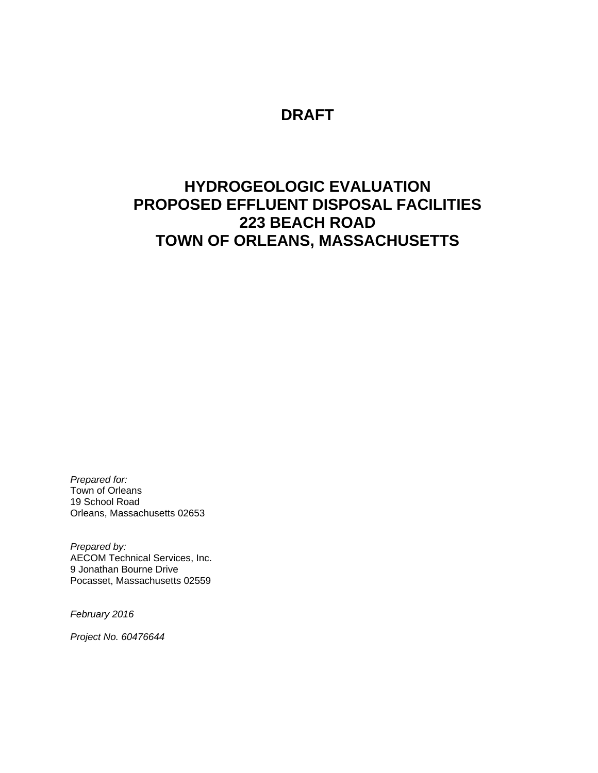## **DRAFT**

# **HYDROGEOLOGIC EVALUATION PROPOSED EFFLUENT DISPOSAL FACILITIES 223 BEACH ROAD TOWN OF ORLEANS, MASSACHUSETTS**

*Prepared for:*  Town of Orleans 19 School Road Orleans, Massachusetts 02653

*Prepared by:*  AECOM Technical Services, Inc. 9 Jonathan Bourne Drive Pocasset, Massachusetts 02559

*February 2016* 

*Project No. 60476644*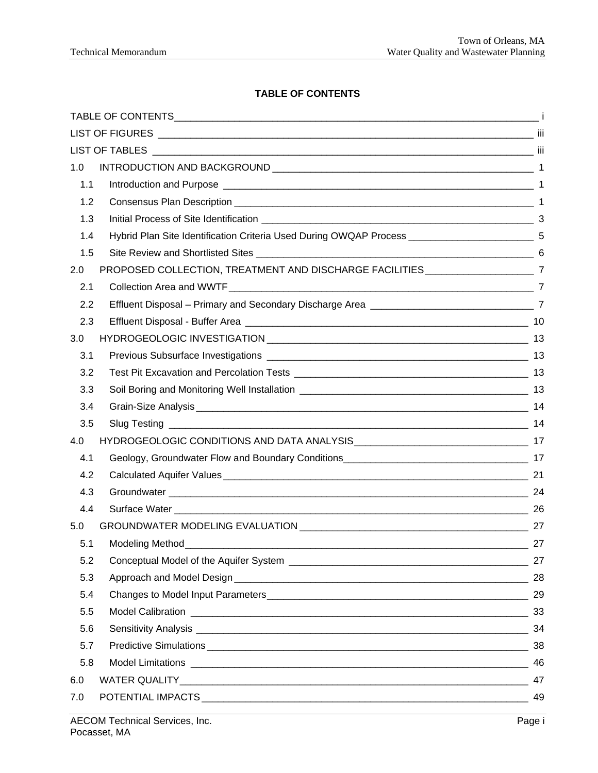## **TABLE OF CONTENTS**

| 1.0 |                                                                                                 |    |
|-----|-------------------------------------------------------------------------------------------------|----|
| 1.1 |                                                                                                 |    |
| 1.2 |                                                                                                 |    |
| 1.3 |                                                                                                 |    |
| 1.4 | Hybrid Plan Site Identification Criteria Used During OWQAP Process ___________________________5 |    |
| 1.5 |                                                                                                 |    |
| 2.0 | PROPOSED COLLECTION, TREATMENT AND DISCHARGE FACILITIES ______________________7                 |    |
| 2.1 |                                                                                                 |    |
| 2.2 |                                                                                                 |    |
| 2.3 |                                                                                                 |    |
| 3.0 |                                                                                                 |    |
| 3.1 |                                                                                                 |    |
| 3.2 |                                                                                                 |    |
| 3.3 |                                                                                                 |    |
| 3.4 |                                                                                                 |    |
| 3.5 |                                                                                                 |    |
| 4.0 |                                                                                                 |    |
| 4.1 |                                                                                                 |    |
| 4.2 |                                                                                                 |    |
| 4.3 |                                                                                                 |    |
| 4.4 | Surface Water 26                                                                                |    |
| 5.0 |                                                                                                 |    |
| 5.1 | <b>Modeling Method</b>                                                                          | 27 |
| 5.2 |                                                                                                 |    |
| 5.3 |                                                                                                 |    |
| 5.4 |                                                                                                 |    |
| 5.5 |                                                                                                 |    |
| 5.6 |                                                                                                 |    |
| 5.7 |                                                                                                 |    |
| 5.8 |                                                                                                 |    |
| 6.0 |                                                                                                 |    |
| 7.0 |                                                                                                 |    |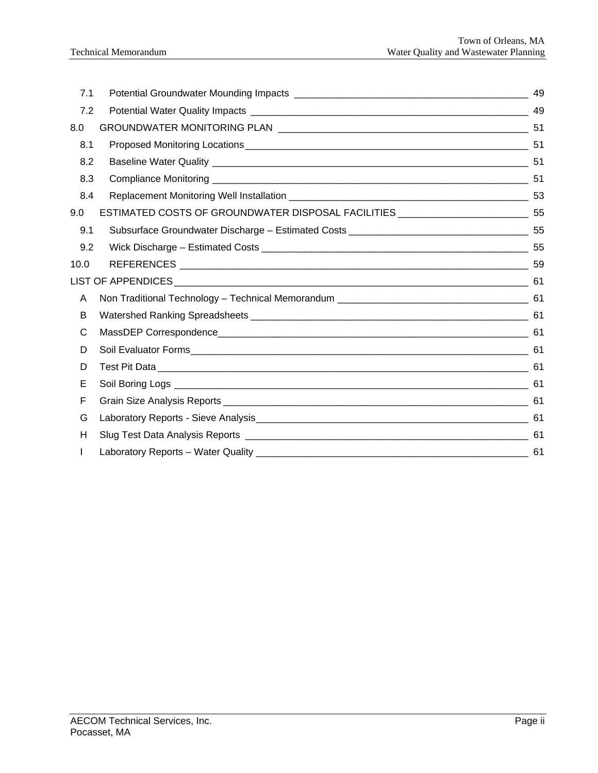| 7.1  |                                                                                  | 49 |
|------|----------------------------------------------------------------------------------|----|
| 7.2  |                                                                                  |    |
| 8.0  |                                                                                  |    |
| 8.1  |                                                                                  |    |
| 8.2  |                                                                                  |    |
| 8.3  |                                                                                  |    |
| 8.4  |                                                                                  |    |
| 9.0  | ESTIMATED COSTS OF GROUNDWATER DISPOSAL FACILITIES ___________________________55 |    |
| 9.1  |                                                                                  |    |
| 9.2  |                                                                                  |    |
| 10.0 |                                                                                  |    |
|      |                                                                                  |    |
| A    |                                                                                  |    |
| В    |                                                                                  |    |
| C    |                                                                                  |    |
| D    |                                                                                  |    |
| D    |                                                                                  |    |
| E    |                                                                                  |    |
| F    |                                                                                  |    |
| G    |                                                                                  |    |
| н    |                                                                                  |    |
| L    |                                                                                  |    |
|      |                                                                                  |    |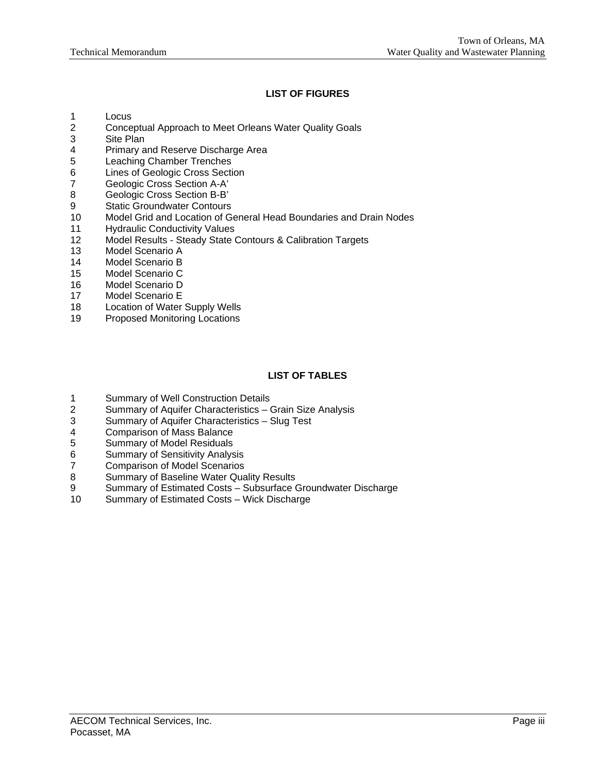## **LIST OF FIGURES**

- 1 Locus
- 2 Conceptual Approach to Meet Orleans Water Quality Goals
- Site Plan
- 4 Primary and Reserve Discharge Area<br>5 Leaching Chamber Trenches
- **Leaching Chamber Trenches**
- 6 Lines of Geologic Cross Section
- 7 Geologic Cross Section A-A'
- 8 Geologic Cross Section B-B'
- 9 Static Groundwater Contours
- 10 Model Grid and Location of General Head Boundaries and Drain Nodes
- 11 Hydraulic Conductivity Values
- 12 Model Results Steady State Contours & Calibration Targets
- 13 Model Scenario A
- 14 Model Scenario B
- 15 Model Scenario C
- 16 Model Scenario D
- 17 Model Scenario E
- 18 Location of Water Supply Wells
- 19 Proposed Monitoring Locations

## **LIST OF TABLES**

- 1 Summary of Well Construction Details
- 2 Summary of Aquifer Characteristics Grain Size Analysis
- 3 Summary of Aquifer Characteristics Slug Test
- 4 Comparison of Mass Balance
- 5 Summary of Model Residuals
- 6 Summary of Sensitivity Analysis
- 7 Comparison of Model Scenarios
- 8 Summary of Baseline Water Quality Results
- 9 Summary of Estimated Costs Subsurface Groundwater Discharge<br>10 Summary of Estimated Costs Wick Discharge
- Summary of Estimated Costs Wick Discharge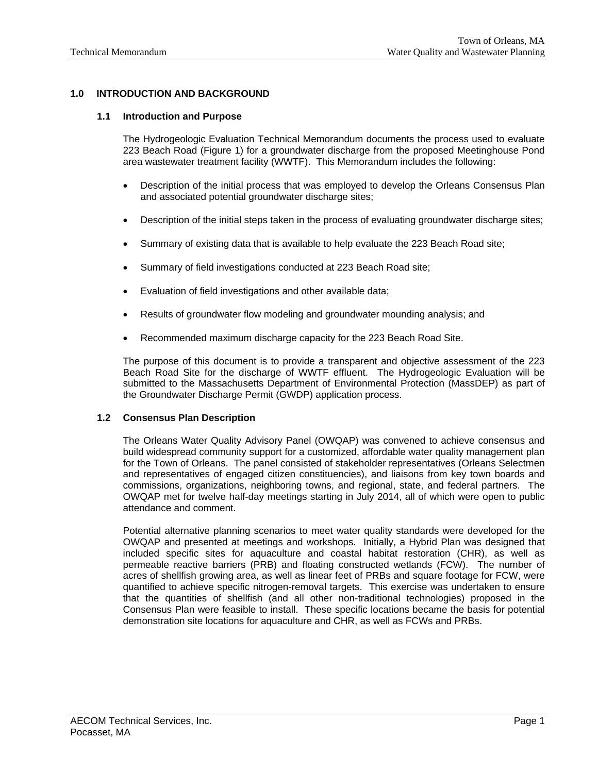## **1.0 INTRODUCTION AND BACKGROUND**

## **1.1 Introduction and Purpose**

The Hydrogeologic Evaluation Technical Memorandum documents the process used to evaluate 223 Beach Road (Figure 1) for a groundwater discharge from the proposed Meetinghouse Pond area wastewater treatment facility (WWTF). This Memorandum includes the following:

- Description of the initial process that was employed to develop the Orleans Consensus Plan and associated potential groundwater discharge sites;
- Description of the initial steps taken in the process of evaluating groundwater discharge sites;
- Summary of existing data that is available to help evaluate the 223 Beach Road site;
- Summary of field investigations conducted at 223 Beach Road site;
- Evaluation of field investigations and other available data;
- Results of groundwater flow modeling and groundwater mounding analysis; and
- Recommended maximum discharge capacity for the 223 Beach Road Site.

The purpose of this document is to provide a transparent and objective assessment of the 223 Beach Road Site for the discharge of WWTF effluent. The Hydrogeologic Evaluation will be submitted to the Massachusetts Department of Environmental Protection (MassDEP) as part of the Groundwater Discharge Permit (GWDP) application process.

## **1.2 Consensus Plan Description**

The Orleans Water Quality Advisory Panel (OWQAP) was convened to achieve consensus and build widespread community support for a customized, affordable water quality management plan for the Town of Orleans. The panel consisted of stakeholder representatives (Orleans Selectmen and representatives of engaged citizen constituencies), and liaisons from key town boards and commissions, organizations, neighboring towns, and regional, state, and federal partners. The OWQAP met for twelve half-day meetings starting in July 2014, all of which were open to public attendance and comment.

Potential alternative planning scenarios to meet water quality standards were developed for the OWQAP and presented at meetings and workshops. Initially, a Hybrid Plan was designed that included specific sites for aquaculture and coastal habitat restoration (CHR), as well as permeable reactive barriers (PRB) and floating constructed wetlands (FCW). The number of acres of shellfish growing area, as well as linear feet of PRBs and square footage for FCW, were quantified to achieve specific nitrogen-removal targets. This exercise was undertaken to ensure that the quantities of shellfish (and all other non-traditional technologies) proposed in the Consensus Plan were feasible to install. These specific locations became the basis for potential demonstration site locations for aquaculture and CHR, as well as FCWs and PRBs.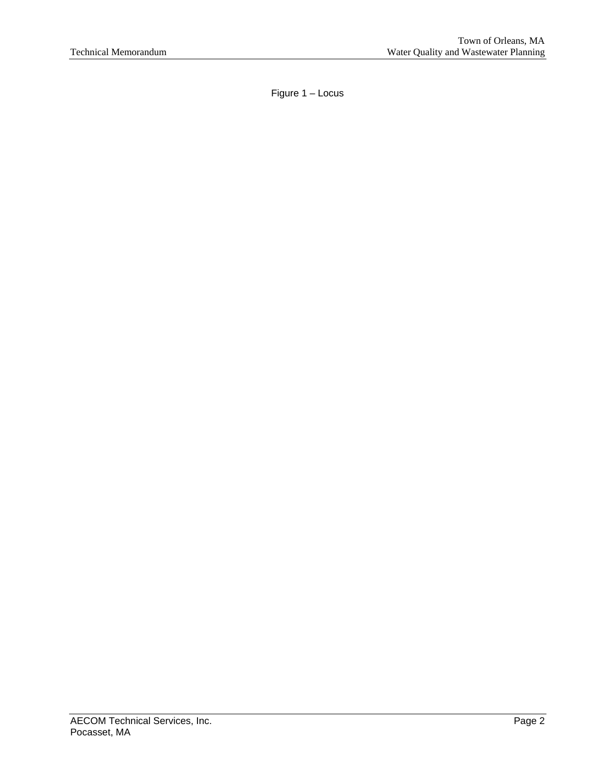Figure 1 – Locus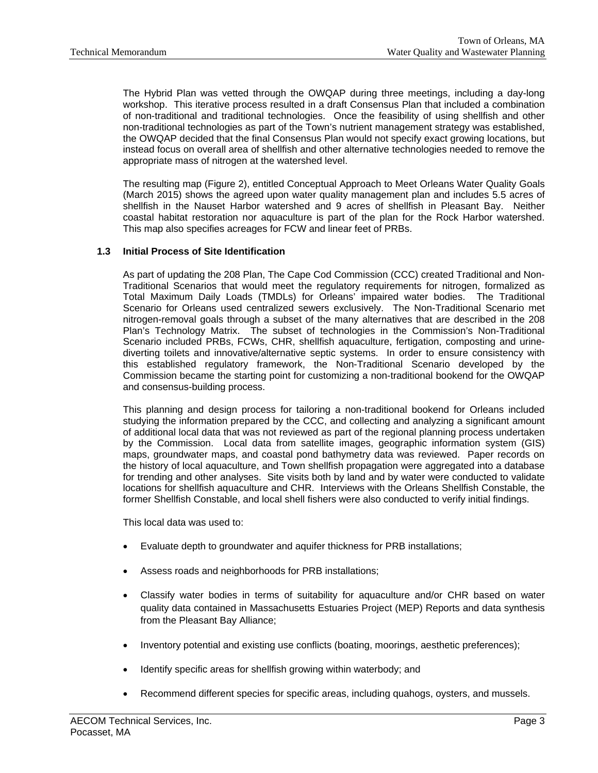The Hybrid Plan was vetted through the OWQAP during three meetings, including a day-long workshop. This iterative process resulted in a draft Consensus Plan that included a combination of non-traditional and traditional technologies. Once the feasibility of using shellfish and other non-traditional technologies as part of the Town's nutrient management strategy was established, the OWQAP decided that the final Consensus Plan would not specify exact growing locations, but instead focus on overall area of shellfish and other alternative technologies needed to remove the appropriate mass of nitrogen at the watershed level.

The resulting map (Figure 2), entitled Conceptual Approach to Meet Orleans Water Quality Goals (March 2015) shows the agreed upon water quality management plan and includes 5.5 acres of shellfish in the Nauset Harbor watershed and 9 acres of shellfish in Pleasant Bay. Neither coastal habitat restoration nor aquaculture is part of the plan for the Rock Harbor watershed. This map also specifies acreages for FCW and linear feet of PRBs.

## **1.3 Initial Process of Site Identification**

As part of updating the 208 Plan, The Cape Cod Commission (CCC) created Traditional and Non-Traditional Scenarios that would meet the regulatory requirements for nitrogen, formalized as Total Maximum Daily Loads (TMDLs) for Orleans' impaired water bodies. The Traditional Scenario for Orleans used centralized sewers exclusively. The Non-Traditional Scenario met nitrogen-removal goals through a subset of the many alternatives that are described in the 208 Plan's Technology Matrix. The subset of technologies in the Commission's Non-Traditional Scenario included PRBs, FCWs, CHR, shellfish aquaculture, fertigation, composting and urinediverting toilets and innovative/alternative septic systems. In order to ensure consistency with this established regulatory framework, the Non-Traditional Scenario developed by the Commission became the starting point for customizing a non-traditional bookend for the OWQAP and consensus-building process.

This planning and design process for tailoring a non-traditional bookend for Orleans included studying the information prepared by the CCC, and collecting and analyzing a significant amount of additional local data that was not reviewed as part of the regional planning process undertaken by the Commission. Local data from satellite images, geographic information system (GIS) maps, groundwater maps, and coastal pond bathymetry data was reviewed. Paper records on the history of local aquaculture, and Town shellfish propagation were aggregated into a database for trending and other analyses. Site visits both by land and by water were conducted to validate locations for shellfish aquaculture and CHR. Interviews with the Orleans Shellfish Constable, the former Shellfish Constable, and local shell fishers were also conducted to verify initial findings.

This local data was used to:

- Evaluate depth to groundwater and aquifer thickness for PRB installations;
- Assess roads and neighborhoods for PRB installations;
- Classify water bodies in terms of suitability for aquaculture and/or CHR based on water quality data contained in Massachusetts Estuaries Project (MEP) Reports and data synthesis from the Pleasant Bay Alliance;
- Inventory potential and existing use conflicts (boating, moorings, aesthetic preferences);
- Identify specific areas for shellfish growing within waterbody; and
- Recommend different species for specific areas, including quahogs, oysters, and mussels.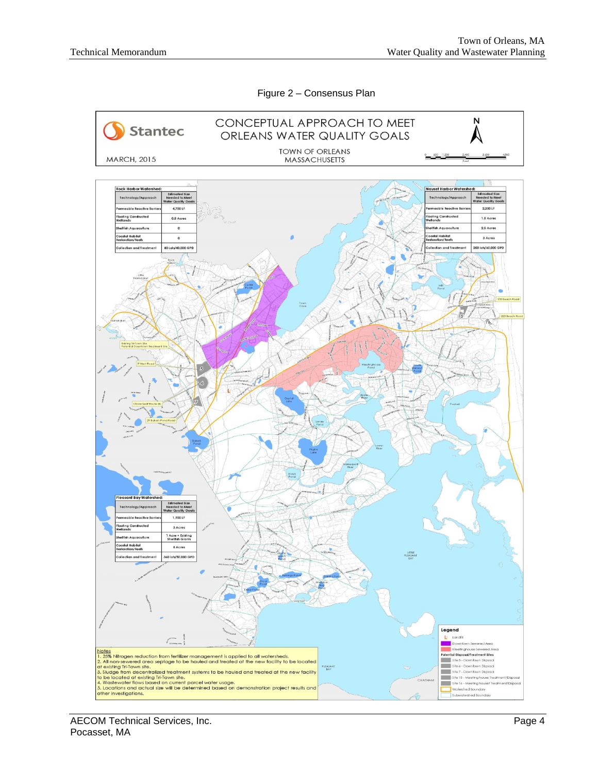#### Figure 2 – Consensus Plan

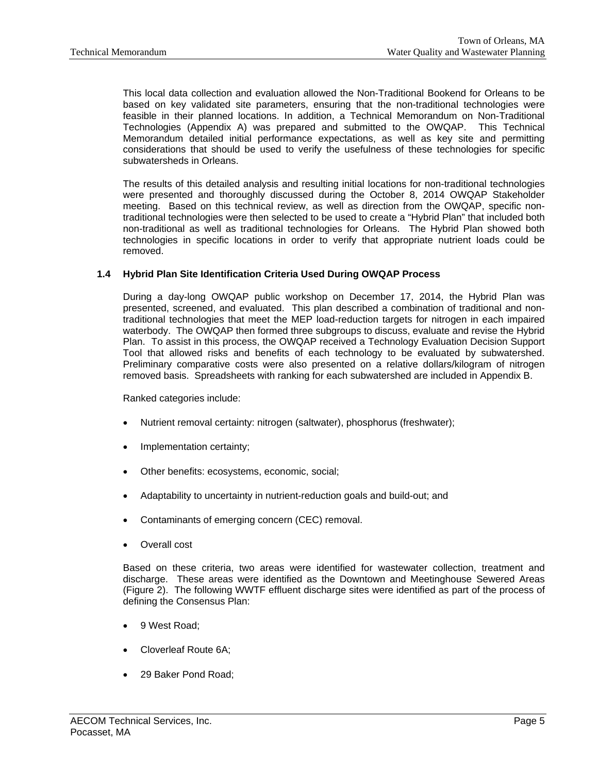This local data collection and evaluation allowed the Non-Traditional Bookend for Orleans to be based on key validated site parameters, ensuring that the non-traditional technologies were feasible in their planned locations. In addition, a Technical Memorandum on Non-Traditional Technologies (Appendix A) was prepared and submitted to the OWQAP. This Technical Memorandum detailed initial performance expectations, as well as key site and permitting considerations that should be used to verify the usefulness of these technologies for specific subwatersheds in Orleans.

The results of this detailed analysis and resulting initial locations for non-traditional technologies were presented and thoroughly discussed during the October 8, 2014 OWQAP Stakeholder meeting. Based on this technical review, as well as direction from the OWQAP, specific nontraditional technologies were then selected to be used to create a "Hybrid Plan" that included both non-traditional as well as traditional technologies for Orleans. The Hybrid Plan showed both technologies in specific locations in order to verify that appropriate nutrient loads could be removed.

#### **1.4 Hybrid Plan Site Identification Criteria Used During OWQAP Process**

During a day-long OWQAP public workshop on December 17, 2014, the Hybrid Plan was presented, screened, and evaluated. This plan described a combination of traditional and nontraditional technologies that meet the MEP load-reduction targets for nitrogen in each impaired waterbody. The OWQAP then formed three subgroups to discuss, evaluate and revise the Hybrid Plan. To assist in this process, the OWQAP received a Technology Evaluation Decision Support Tool that allowed risks and benefits of each technology to be evaluated by subwatershed. Preliminary comparative costs were also presented on a relative dollars/kilogram of nitrogen removed basis. Spreadsheets with ranking for each subwatershed are included in Appendix B.

Ranked categories include:

- Nutrient removal certainty: nitrogen (saltwater), phosphorus (freshwater);
- Implementation certainty;
- Other benefits: ecosystems, economic, social;
- Adaptability to uncertainty in nutrient-reduction goals and build-out; and
- Contaminants of emerging concern (CEC) removal.
- Overall cost

Based on these criteria, two areas were identified for wastewater collection, treatment and discharge. These areas were identified as the Downtown and Meetinghouse Sewered Areas (Figure 2). The following WWTF effluent discharge sites were identified as part of the process of defining the Consensus Plan:

- 9 West Road:
- Cloverleaf Route 6A;
- 29 Baker Pond Road;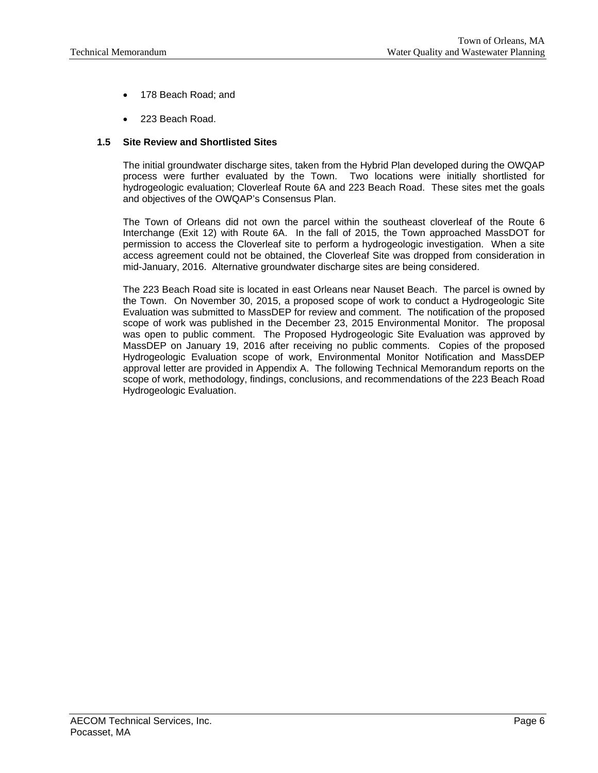- 178 Beach Road; and
- 223 Beach Road.

## **1.5 Site Review and Shortlisted Sites**

The initial groundwater discharge sites, taken from the Hybrid Plan developed during the OWQAP process were further evaluated by the Town. Two locations were initially shortlisted for hydrogeologic evaluation; Cloverleaf Route 6A and 223 Beach Road. These sites met the goals and objectives of the OWQAP's Consensus Plan.

The Town of Orleans did not own the parcel within the southeast cloverleaf of the Route 6 Interchange (Exit 12) with Route 6A. In the fall of 2015, the Town approached MassDOT for permission to access the Cloverleaf site to perform a hydrogeologic investigation. When a site access agreement could not be obtained, the Cloverleaf Site was dropped from consideration in mid-January, 2016. Alternative groundwater discharge sites are being considered.

The 223 Beach Road site is located in east Orleans near Nauset Beach. The parcel is owned by the Town. On November 30, 2015, a proposed scope of work to conduct a Hydrogeologic Site Evaluation was submitted to MassDEP for review and comment. The notification of the proposed scope of work was published in the December 23, 2015 Environmental Monitor. The proposal was open to public comment. The Proposed Hydrogeologic Site Evaluation was approved by MassDEP on January 19, 2016 after receiving no public comments. Copies of the proposed Hydrogeologic Evaluation scope of work, Environmental Monitor Notification and MassDEP approval letter are provided in Appendix A. The following Technical Memorandum reports on the scope of work, methodology, findings, conclusions, and recommendations of the 223 Beach Road Hydrogeologic Evaluation.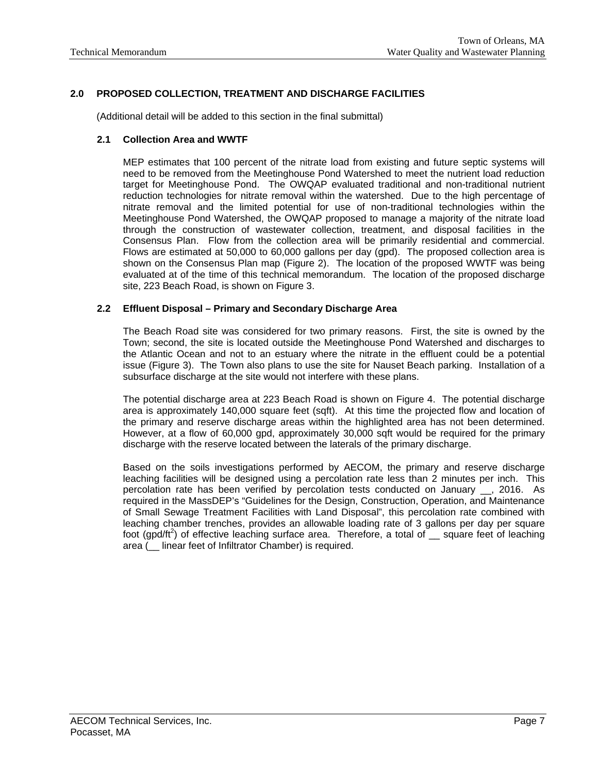## **2.0 PROPOSED COLLECTION, TREATMENT AND DISCHARGE FACILITIES**

(Additional detail will be added to this section in the final submittal)

#### **2.1 Collection Area and WWTF**

MEP estimates that 100 percent of the nitrate load from existing and future septic systems will need to be removed from the Meetinghouse Pond Watershed to meet the nutrient load reduction target for Meetinghouse Pond. The OWQAP evaluated traditional and non-traditional nutrient reduction technologies for nitrate removal within the watershed. Due to the high percentage of nitrate removal and the limited potential for use of non-traditional technologies within the Meetinghouse Pond Watershed, the OWQAP proposed to manage a majority of the nitrate load through the construction of wastewater collection, treatment, and disposal facilities in the Consensus Plan. Flow from the collection area will be primarily residential and commercial. Flows are estimated at 50,000 to 60,000 gallons per day (gpd). The proposed collection area is shown on the Consensus Plan map (Figure 2). The location of the proposed WWTF was being evaluated at of the time of this technical memorandum. The location of the proposed discharge site, 223 Beach Road, is shown on Figure 3.

#### **2.2 Effluent Disposal – Primary and Secondary Discharge Area**

The Beach Road site was considered for two primary reasons. First, the site is owned by the Town; second, the site is located outside the Meetinghouse Pond Watershed and discharges to the Atlantic Ocean and not to an estuary where the nitrate in the effluent could be a potential issue (Figure 3). The Town also plans to use the site for Nauset Beach parking. Installation of a subsurface discharge at the site would not interfere with these plans.

The potential discharge area at 223 Beach Road is shown on Figure 4. The potential discharge area is approximately 140,000 square feet (sqft). At this time the projected flow and location of the primary and reserve discharge areas within the highlighted area has not been determined. However, at a flow of 60,000 gpd, approximately 30,000 sqft would be required for the primary discharge with the reserve located between the laterals of the primary discharge.

Based on the soils investigations performed by AECOM, the primary and reserve discharge leaching facilities will be designed using a percolation rate less than 2 minutes per inch. This percolation rate has been verified by percolation tests conducted on January \_\_, 2016. As required in the MassDEP's "Guidelines for the Design, Construction, Operation, and Maintenance of Small Sewage Treatment Facilities with Land Disposal", this percolation rate combined with leaching chamber trenches, provides an allowable loading rate of 3 gallons per day per square foot (gpd/ft<sup>2</sup>) of effective leaching surface area. Therefore, a total of  $\_\_$  square feet of leaching area (\_\_ linear feet of Infiltrator Chamber) is required.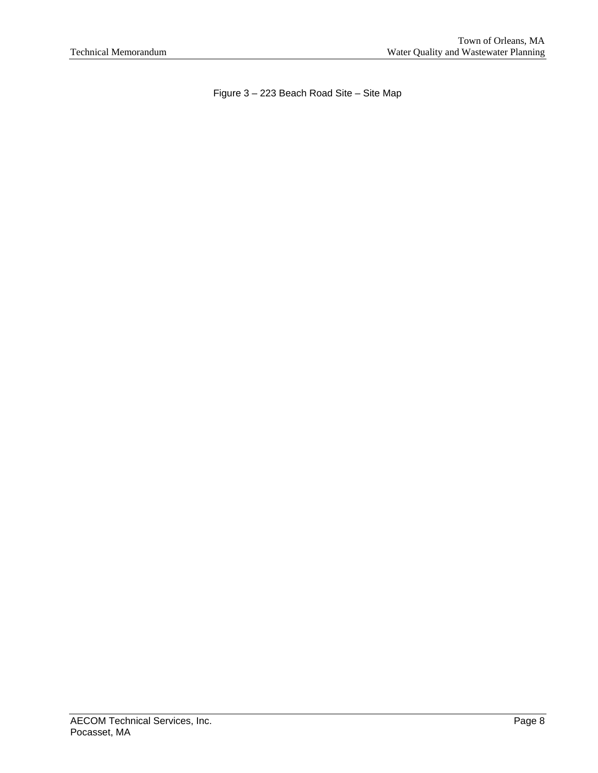Figure 3 – 223 Beach Road Site – Site Map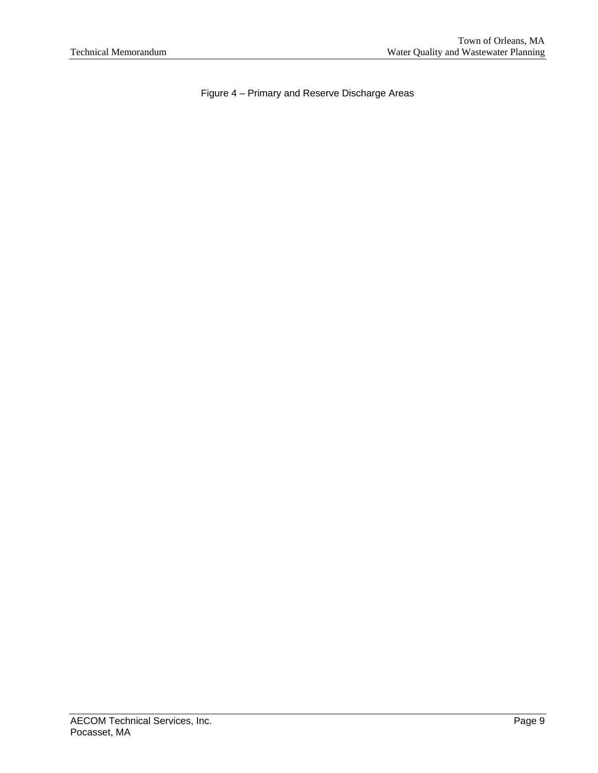Figure 4 – Primary and Reserve Discharge Areas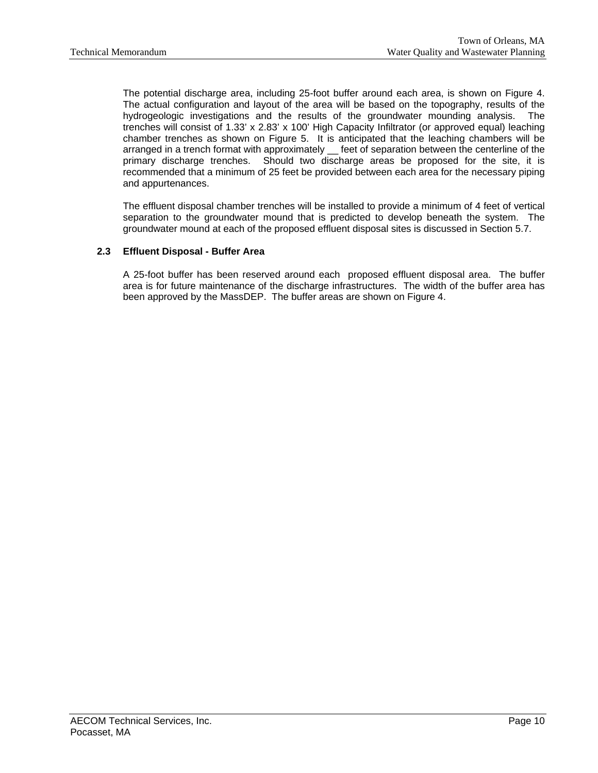The potential discharge area, including 25-foot buffer around each area, is shown on Figure 4. The actual configuration and layout of the area will be based on the topography, results of the hydrogeologic investigations and the results of the groundwater mounding analysis. The trenches will consist of 1.33' x 2.83' x 100' High Capacity Infiltrator (or approved equal) leaching chamber trenches as shown on Figure 5. It is anticipated that the leaching chambers will be arranged in a trench format with approximately  $\_\_$  feet of separation between the centerline of the primary discharge trenches. Should two discharge areas be proposed for the site, it is recommended that a minimum of 25 feet be provided between each area for the necessary piping and appurtenances.

The effluent disposal chamber trenches will be installed to provide a minimum of 4 feet of vertical separation to the groundwater mound that is predicted to develop beneath the system. The groundwater mound at each of the proposed effluent disposal sites is discussed in Section 5.7.

#### **2.3 Effluent Disposal - Buffer Area**

A 25-foot buffer has been reserved around each proposed effluent disposal area. The buffer area is for future maintenance of the discharge infrastructures. The width of the buffer area has been approved by the MassDEP. The buffer areas are shown on Figure 4.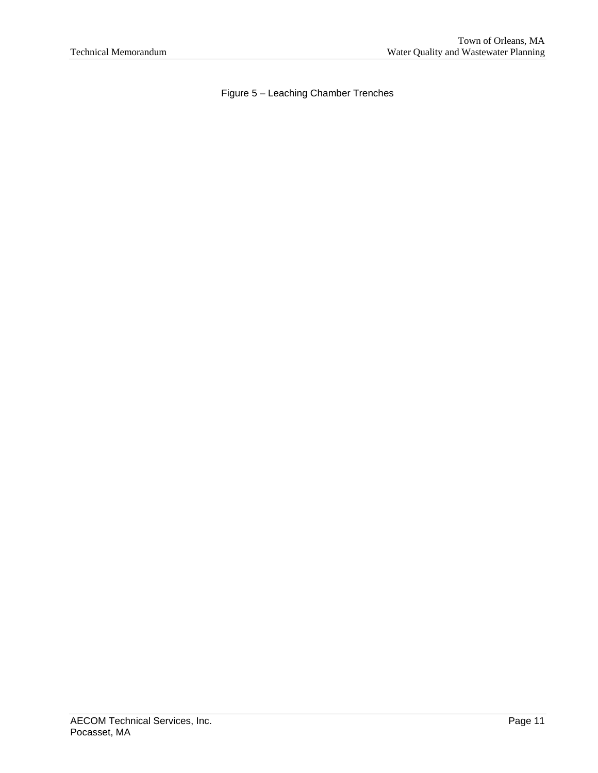Figure 5 – Leaching Chamber Trenches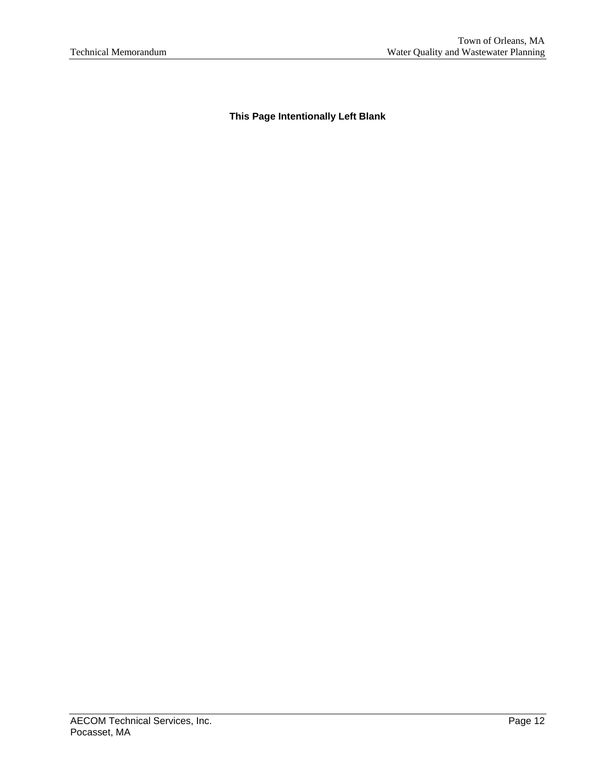**This Page Intentionally Left Blank**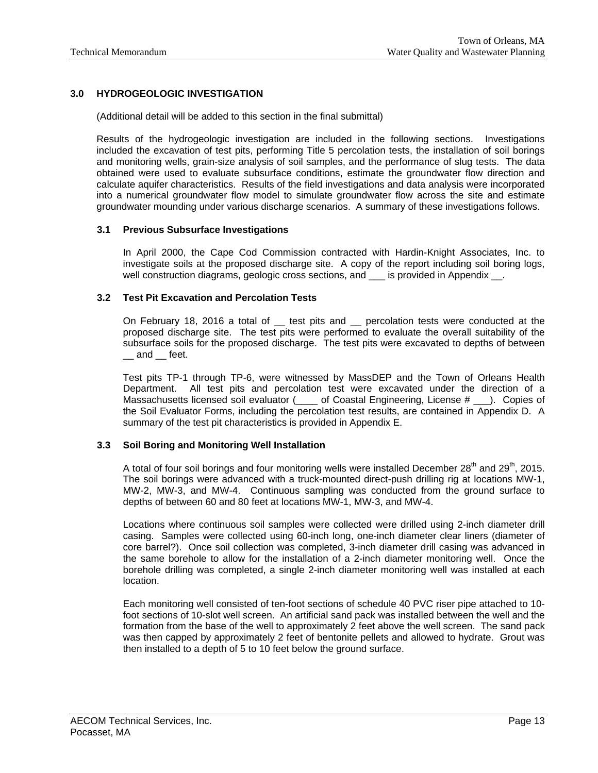## **3.0 HYDROGEOLOGIC INVESTIGATION**

(Additional detail will be added to this section in the final submittal)

Results of the hydrogeologic investigation are included in the following sections. Investigations included the excavation of test pits, performing Title 5 percolation tests, the installation of soil borings and monitoring wells, grain-size analysis of soil samples, and the performance of slug tests. The data obtained were used to evaluate subsurface conditions, estimate the groundwater flow direction and calculate aquifer characteristics. Results of the field investigations and data analysis were incorporated into a numerical groundwater flow model to simulate groundwater flow across the site and estimate groundwater mounding under various discharge scenarios. A summary of these investigations follows.

#### **3.1 Previous Subsurface Investigations**

In April 2000, the Cape Cod Commission contracted with Hardin-Knight Associates, Inc. to investigate soils at the proposed discharge site. A copy of the report including soil boring logs, well construction diagrams, geologic cross sections, and \_\_\_ is provided in Appendix \_\_.

#### **3.2 Test Pit Excavation and Percolation Tests**

On February 18, 2016 a total of \_\_ test pits and \_\_ percolation tests were conducted at the proposed discharge site. The test pits were performed to evaluate the overall suitability of the subsurface soils for the proposed discharge. The test pits were excavated to depths of between  $\equiv$  and  $\equiv$  feet.

Test pits TP-1 through TP-6, were witnessed by MassDEP and the Town of Orleans Health Department. All test pits and percolation test were excavated under the direction of a Massachusetts licensed soil evaluator ( \_\_\_\_ of Coastal Engineering, License # \_\_\_). Copies of the Soil Evaluator Forms, including the percolation test results, are contained in Appendix D. A summary of the test pit characteristics is provided in Appendix E.

## **3.3 Soil Boring and Monitoring Well Installation**

A total of four soil borings and four monitoring wells were installed December  $28<sup>th</sup>$  and  $29<sup>th</sup>$ , 2015. The soil borings were advanced with a truck-mounted direct-push drilling rig at locations MW-1, MW-2, MW-3, and MW-4. Continuous sampling was conducted from the ground surface to depths of between 60 and 80 feet at locations MW-1, MW-3, and MW-4.

Locations where continuous soil samples were collected were drilled using 2-inch diameter drill casing. Samples were collected using 60-inch long, one-inch diameter clear liners (diameter of core barrel?). Once soil collection was completed, 3-inch diameter drill casing was advanced in the same borehole to allow for the installation of a 2-inch diameter monitoring well. Once the borehole drilling was completed, a single 2-inch diameter monitoring well was installed at each location.

Each monitoring well consisted of ten-foot sections of schedule 40 PVC riser pipe attached to 10 foot sections of 10-slot well screen. An artificial sand pack was installed between the well and the formation from the base of the well to approximately 2 feet above the well screen. The sand pack was then capped by approximately 2 feet of bentonite pellets and allowed to hydrate. Grout was then installed to a depth of 5 to 10 feet below the ground surface.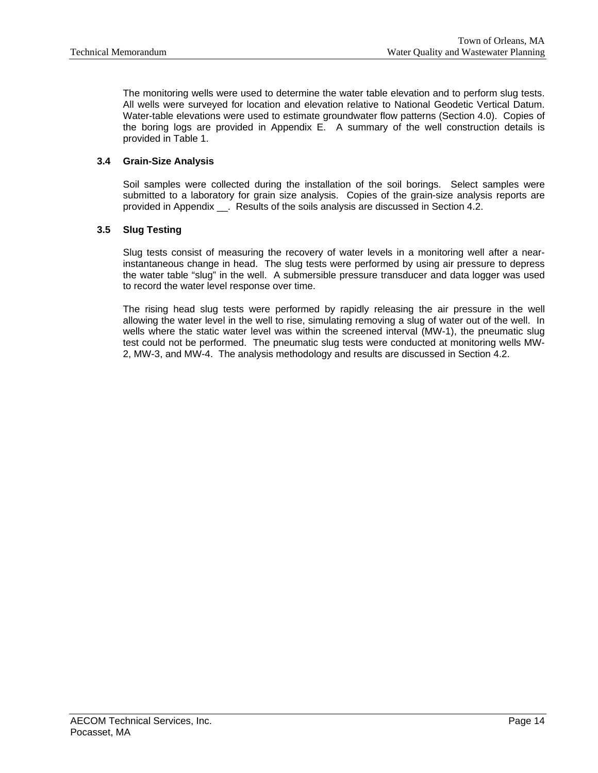The monitoring wells were used to determine the water table elevation and to perform slug tests. All wells were surveyed for location and elevation relative to National Geodetic Vertical Datum. Water-table elevations were used to estimate groundwater flow patterns (Section 4.0). Copies of the boring logs are provided in Appendix E. A summary of the well construction details is provided in Table 1.

## **3.4 Grain-Size Analysis**

Soil samples were collected during the installation of the soil borings. Select samples were submitted to a laboratory for grain size analysis. Copies of the grain-size analysis reports are provided in Appendix \_\_. Results of the soils analysis are discussed in Section 4.2.

## **3.5 Slug Testing**

Slug tests consist of measuring the recovery of water levels in a monitoring well after a nearinstantaneous change in head. The slug tests were performed by using air pressure to depress the water table "slug" in the well. A submersible pressure transducer and data logger was used to record the water level response over time.

The rising head slug tests were performed by rapidly releasing the air pressure in the well allowing the water level in the well to rise, simulating removing a slug of water out of the well. In wells where the static water level was within the screened interval (MW-1), the pneumatic slug test could not be performed. The pneumatic slug tests were conducted at monitoring wells MW-2, MW-3, and MW-4. The analysis methodology and results are discussed in Section 4.2.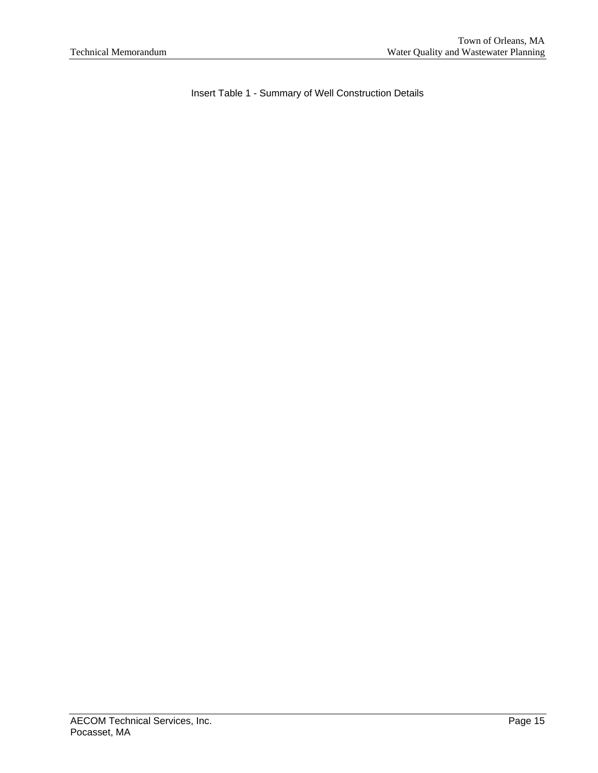Insert Table 1 - Summary of Well Construction Details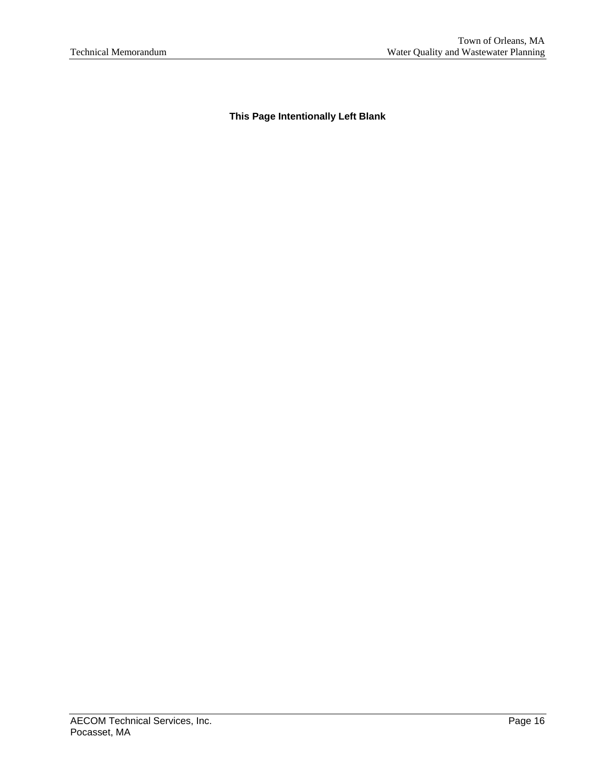**This Page Intentionally Left Blank**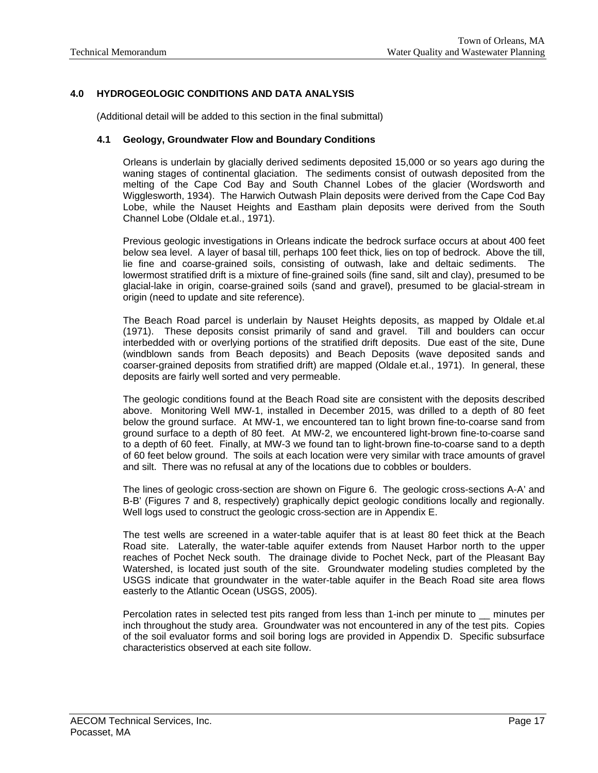## **4.0 HYDROGEOLOGIC CONDITIONS AND DATA ANALYSIS**

(Additional detail will be added to this section in the final submittal)

#### **4.1 Geology, Groundwater Flow and Boundary Conditions**

Orleans is underlain by glacially derived sediments deposited 15,000 or so years ago during the waning stages of continental glaciation. The sediments consist of outwash deposited from the melting of the Cape Cod Bay and South Channel Lobes of the glacier (Wordsworth and Wigglesworth, 1934). The Harwich Outwash Plain deposits were derived from the Cape Cod Bay Lobe, while the Nauset Heights and Eastham plain deposits were derived from the South Channel Lobe (Oldale et.al., 1971).

Previous geologic investigations in Orleans indicate the bedrock surface occurs at about 400 feet below sea level. A layer of basal till, perhaps 100 feet thick, lies on top of bedrock. Above the till, lie fine and coarse-grained soils, consisting of outwash, lake and deltaic sediments. The lowermost stratified drift is a mixture of fine-grained soils (fine sand, silt and clay), presumed to be glacial-lake in origin, coarse-grained soils (sand and gravel), presumed to be glacial-stream in origin (need to update and site reference).

The Beach Road parcel is underlain by Nauset Heights deposits, as mapped by Oldale et.al (1971). These deposits consist primarily of sand and gravel. Till and boulders can occur interbedded with or overlying portions of the stratified drift deposits. Due east of the site, Dune (windblown sands from Beach deposits) and Beach Deposits (wave deposited sands and coarser-grained deposits from stratified drift) are mapped (Oldale et.al., 1971). In general, these deposits are fairly well sorted and very permeable.

The geologic conditions found at the Beach Road site are consistent with the deposits described above. Monitoring Well MW-1, installed in December 2015, was drilled to a depth of 80 feet below the ground surface. At MW-1, we encountered tan to light brown fine-to-coarse sand from ground surface to a depth of 80 feet. At MW-2, we encountered light-brown fine-to-coarse sand to a depth of 60 feet. Finally, at MW-3 we found tan to light-brown fine-to-coarse sand to a depth of 60 feet below ground. The soils at each location were very similar with trace amounts of gravel and silt. There was no refusal at any of the locations due to cobbles or boulders.

The lines of geologic cross-section are shown on Figure 6. The geologic cross-sections A-A' and B-B' (Figures 7 and 8, respectively) graphically depict geologic conditions locally and regionally. Well logs used to construct the geologic cross-section are in Appendix E.

The test wells are screened in a water-table aquifer that is at least 80 feet thick at the Beach Road site. Laterally, the water-table aquifer extends from Nauset Harbor north to the upper reaches of Pochet Neck south. The drainage divide to Pochet Neck, part of the Pleasant Bay Watershed, is located just south of the site. Groundwater modeling studies completed by the USGS indicate that groundwater in the water-table aquifer in the Beach Road site area flows easterly to the Atlantic Ocean (USGS, 2005).

Percolation rates in selected test pits ranged from less than 1-inch per minute to \_\_ minutes per inch throughout the study area. Groundwater was not encountered in any of the test pits. Copies of the soil evaluator forms and soil boring logs are provided in Appendix D. Specific subsurface characteristics observed at each site follow.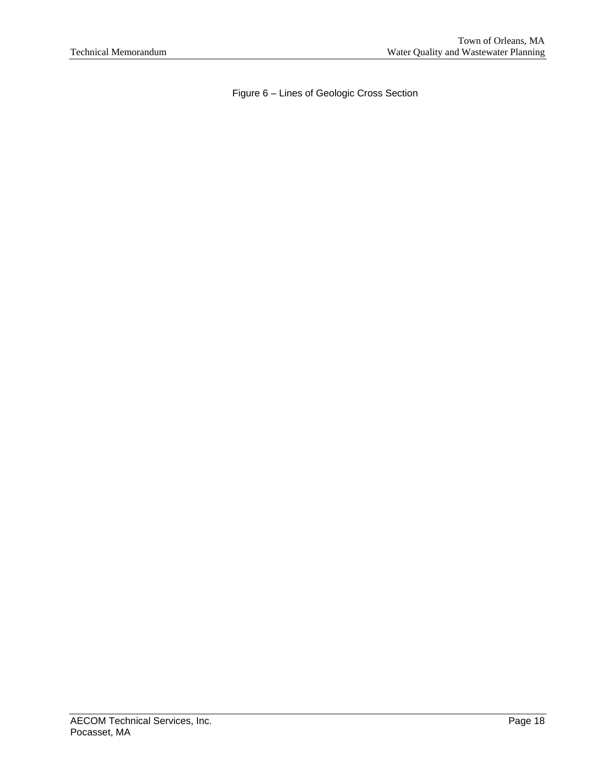Figure 6 – Lines of Geologic Cross Section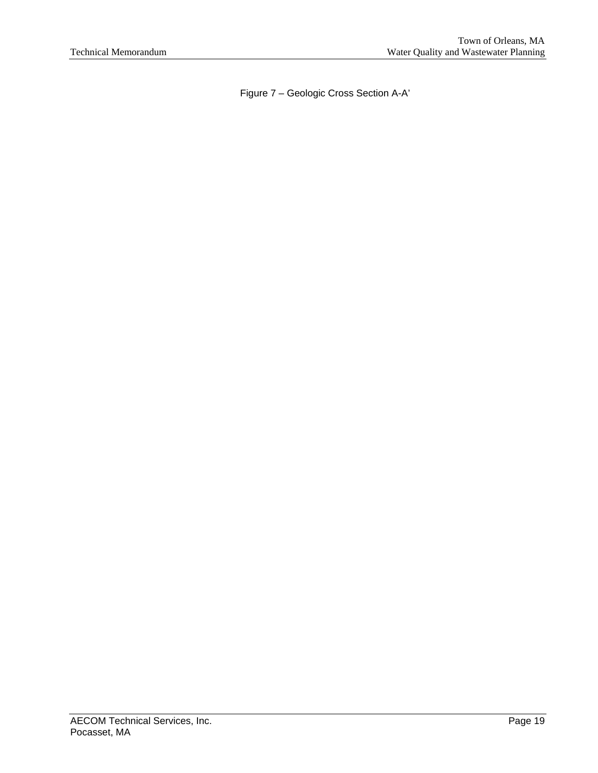Figure 7 – Geologic Cross Section A-A'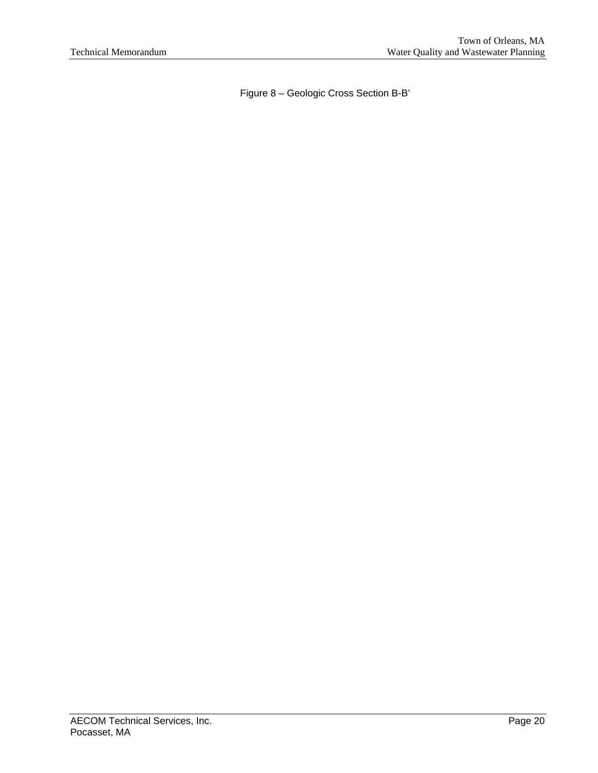Figure 8 – Geologic Cross Section B-B'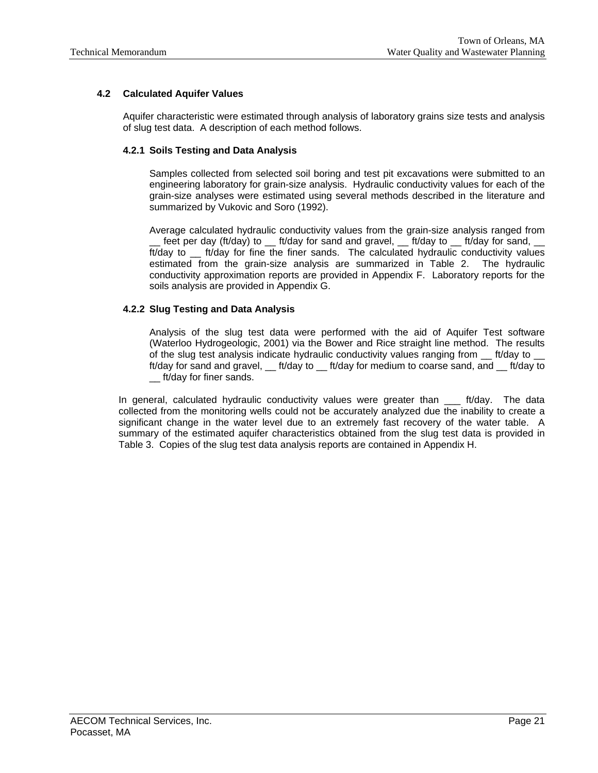## **4.2 Calculated Aquifer Values**

Aquifer characteristic were estimated through analysis of laboratory grains size tests and analysis of slug test data. A description of each method follows.

## **4.2.1 Soils Testing and Data Analysis**

Samples collected from selected soil boring and test pit excavations were submitted to an engineering laboratory for grain-size analysis. Hydraulic conductivity values for each of the grain-size analyses were estimated using several methods described in the literature and summarized by Vukovic and Soro (1992).

Average calculated hydraulic conductivity values from the grain-size analysis ranged from  $\equiv$  feet per day (ft/day) to  $\equiv$  ft/day for sand and gravel,  $\equiv$  ft/day to  $\equiv$  ft/day for sand,  $\equiv$ ft/day to \_\_ ft/day for fine the finer sands. The calculated hydraulic conductivity values estimated from the grain-size analysis are summarized in Table 2. The hydraulic conductivity approximation reports are provided in Appendix F. Laboratory reports for the soils analysis are provided in Appendix G.

## **4.2.2 Slug Testing and Data Analysis**

Analysis of the slug test data were performed with the aid of Aquifer Test software (Waterloo Hydrogeologic, 2001) via the Bower and Rice straight line method. The results of the slug test analysis indicate hydraulic conductivity values ranging from  $f$ t/day to  $f$ ft/day for sand and gravel, \_\_ ft/day to \_\_ ft/day for medium to coarse sand, and \_\_ ft/day to \_\_ ft/day for finer sands.

In general, calculated hydraulic conductivity values were greater than ft/day. The data collected from the monitoring wells could not be accurately analyzed due the inability to create a significant change in the water level due to an extremely fast recovery of the water table. A summary of the estimated aquifer characteristics obtained from the slug test data is provided in Table 3. Copies of the slug test data analysis reports are contained in Appendix H.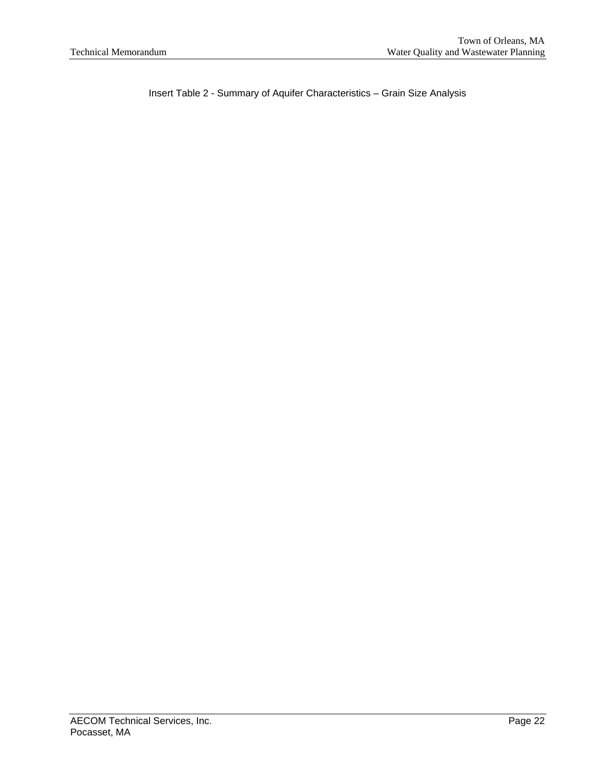Insert Table 2 - Summary of Aquifer Characteristics – Grain Size Analysis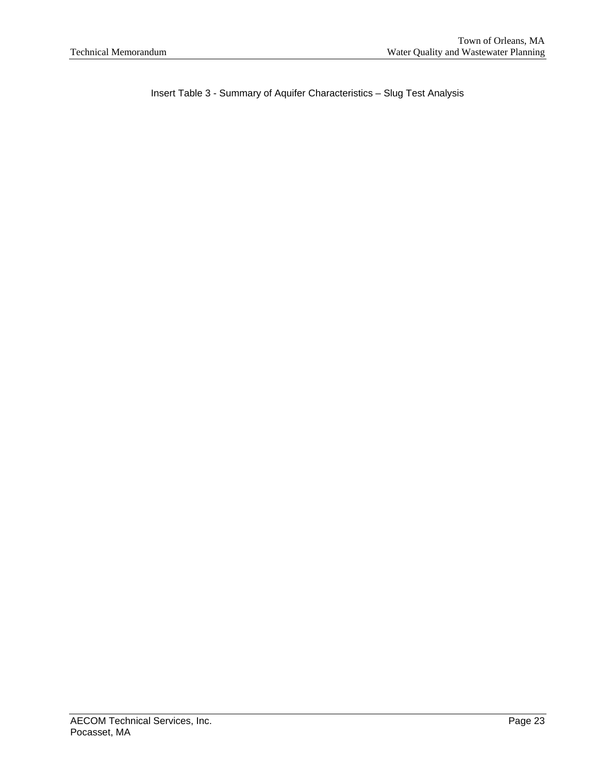Insert Table 3 - Summary of Aquifer Characteristics – Slug Test Analysis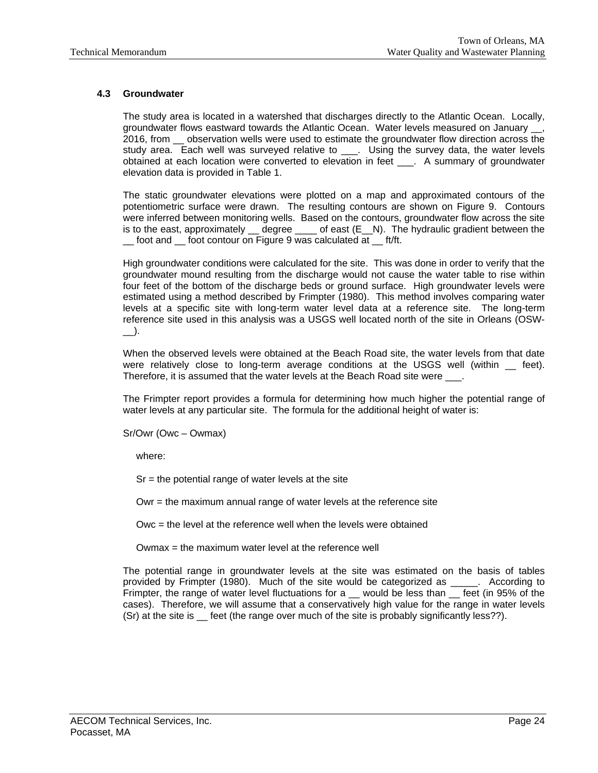## **4.3 Groundwater**

The study area is located in a watershed that discharges directly to the Atlantic Ocean. Locally, groundwater flows eastward towards the Atlantic Ocean. Water levels measured on January \_\_, 2016, from \_\_ observation wells were used to estimate the groundwater flow direction across the study area. Each well was surveyed relative to \_\_\_. Using the survey data, the water levels obtained at each location were converted to elevation in feet \_\_\_. A summary of groundwater elevation data is provided in Table 1.

The static groundwater elevations were plotted on a map and approximated contours of the potentiometric surface were drawn. The resulting contours are shown on Figure 9. Contours were inferred between monitoring wells. Based on the contours, groundwater flow across the site is to the east, approximately  $\_\_$  degree  $\_\_$  of east (E\_N). The hydraulic gradient between the \_\_ foot and \_\_ foot contour on Figure 9 was calculated at \_\_ ft/ft.

High groundwater conditions were calculated for the site. This was done in order to verify that the groundwater mound resulting from the discharge would not cause the water table to rise within four feet of the bottom of the discharge beds or ground surface. High groundwater levels were estimated using a method described by Frimpter (1980). This method involves comparing water levels at a specific site with long-term water level data at a reference site. The long-term reference site used in this analysis was a USGS well located north of the site in Orleans (OSW-  $\Box$ ).

When the observed levels were obtained at the Beach Road site, the water levels from that date were relatively close to long-term average conditions at the USGS well (within  $\equiv$  feet). Therefore, it is assumed that the water levels at the Beach Road site were \_\_\_.

The Frimpter report provides a formula for determining how much higher the potential range of water levels at any particular site. The formula for the additional height of water is:

Sr/Owr (Owc – Owmax)

where:

 $Sr =$  the potential range of water levels at the site

Owr = the maximum annual range of water levels at the reference site

Owc = the level at the reference well when the levels were obtained

Owmax = the maximum water level at the reference well

The potential range in groundwater levels at the site was estimated on the basis of tables provided by Frimpter (1980). Much of the site would be categorized as \_\_\_\_\_. According to Frimpter, the range of water level fluctuations for a  $\_\_$  would be less than  $\_\_$  feet (in 95% of the cases). Therefore, we will assume that a conservatively high value for the range in water levels (Sr) at the site is \_\_ feet (the range over much of the site is probably significantly less??).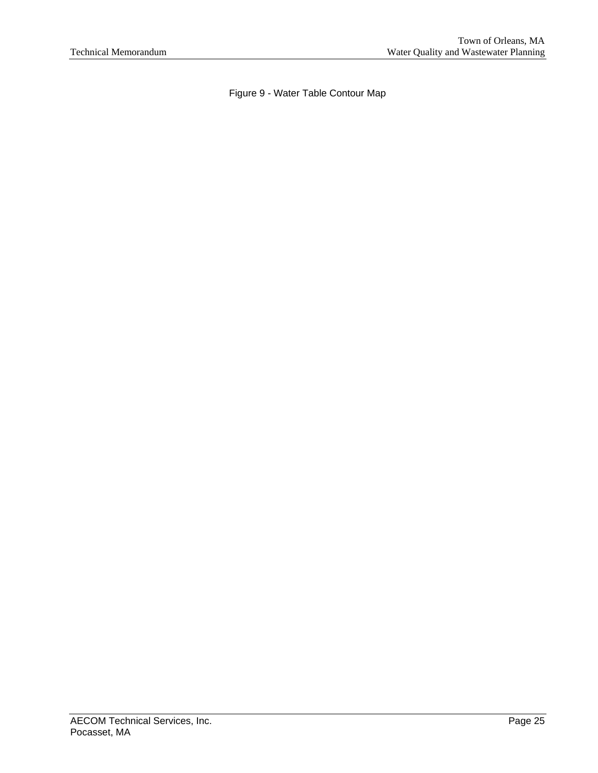Figure 9 - Water Table Contour Map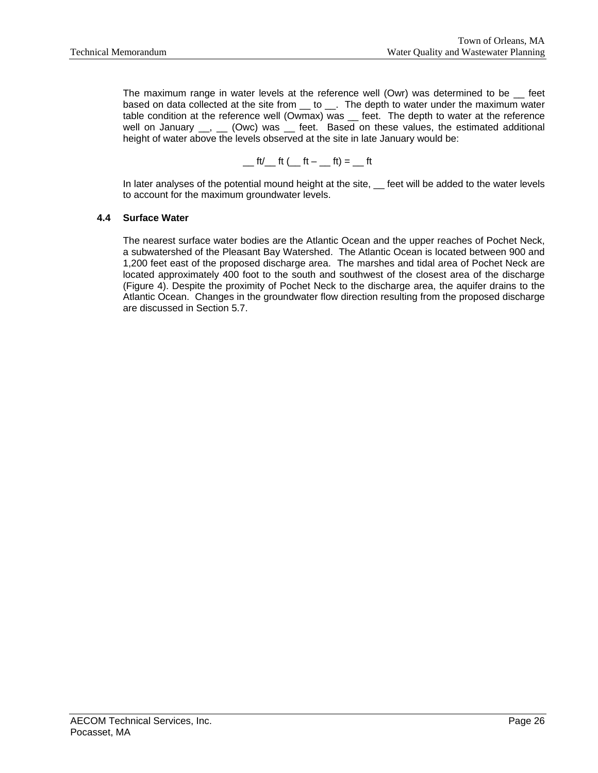The maximum range in water levels at the reference well (Owr) was determined to be \_\_ feet based on data collected at the site from  $\_$  to  $\_$ . The depth to water under the maximum water table condition at the reference well (Owmax) was \_ feet. The depth to water at the reference well on January \_\_, \_\_ (Owc) was \_\_ feet. Based on these values, the estimated additional height of water above the levels observed at the site in late January would be:

$$
\underline{\hspace{1cm}}\text{ft/}\underline{\hspace{1cm}}\text{ft}(\underline{\hspace{1cm}}\text{ft}-\underline{\hspace{1cm}}\text{ft})=\underline{\hspace{1cm}}\text{ft}
$$

In later analyses of the potential mound height at the site,  $\quad$  feet will be added to the water levels to account for the maximum groundwater levels.

## **4.4 Surface Water**

The nearest surface water bodies are the Atlantic Ocean and the upper reaches of Pochet Neck, a subwatershed of the Pleasant Bay Watershed. The Atlantic Ocean is located between 900 and 1,200 feet east of the proposed discharge area. The marshes and tidal area of Pochet Neck are located approximately 400 foot to the south and southwest of the closest area of the discharge (Figure 4). Despite the proximity of Pochet Neck to the discharge area, the aquifer drains to the Atlantic Ocean. Changes in the groundwater flow direction resulting from the proposed discharge are discussed in Section 5.7.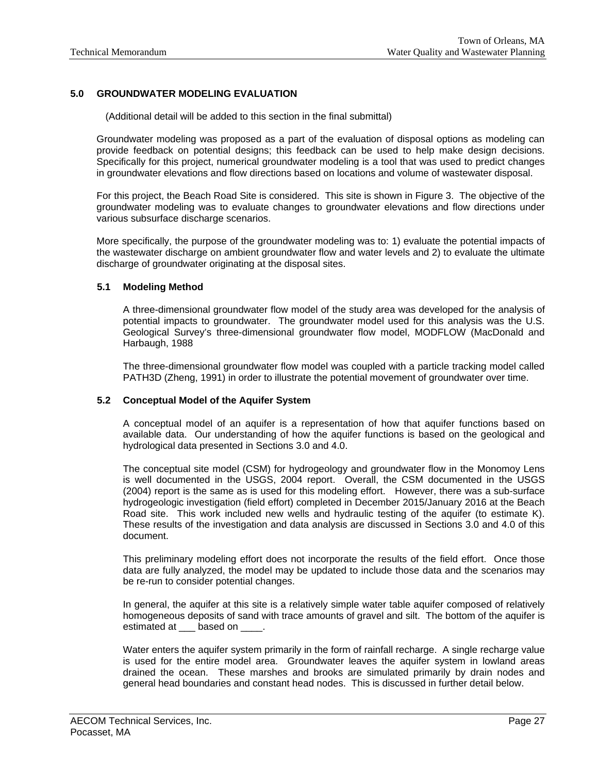## **5.0 GROUNDWATER MODELING EVALUATION**

(Additional detail will be added to this section in the final submittal)

Groundwater modeling was proposed as a part of the evaluation of disposal options as modeling can provide feedback on potential designs; this feedback can be used to help make design decisions. Specifically for this project, numerical groundwater modeling is a tool that was used to predict changes in groundwater elevations and flow directions based on locations and volume of wastewater disposal.

For this project, the Beach Road Site is considered. This site is shown in Figure 3. The objective of the groundwater modeling was to evaluate changes to groundwater elevations and flow directions under various subsurface discharge scenarios.

More specifically, the purpose of the groundwater modeling was to: 1) evaluate the potential impacts of the wastewater discharge on ambient groundwater flow and water levels and 2) to evaluate the ultimate discharge of groundwater originating at the disposal sites.

#### **5.1 Modeling Method**

A three-dimensional groundwater flow model of the study area was developed for the analysis of potential impacts to groundwater. The groundwater model used for this analysis was the U.S. Geological Survey's three-dimensional groundwater flow model, MODFLOW (MacDonald and Harbaugh, 1988

The three-dimensional groundwater flow model was coupled with a particle tracking model called PATH3D (Zheng, 1991) in order to illustrate the potential movement of groundwater over time.

## **5.2 Conceptual Model of the Aquifer System**

A conceptual model of an aquifer is a representation of how that aquifer functions based on available data. Our understanding of how the aquifer functions is based on the geological and hydrological data presented in Sections 3.0 and 4.0.

The conceptual site model (CSM) for hydrogeology and groundwater flow in the Monomoy Lens is well documented in the USGS, 2004 report. Overall, the CSM documented in the USGS (2004) report is the same as is used for this modeling effort. However, there was a sub-surface hydrogeologic investigation (field effort) completed in December 2015/January 2016 at the Beach Road site. This work included new wells and hydraulic testing of the aquifer (to estimate K). These results of the investigation and data analysis are discussed in Sections 3.0 and 4.0 of this document.

This preliminary modeling effort does not incorporate the results of the field effort. Once those data are fully analyzed, the model may be updated to include those data and the scenarios may be re-run to consider potential changes.

In general, the aquifer at this site is a relatively simple water table aquifer composed of relatively homogeneous deposits of sand with trace amounts of gravel and silt. The bottom of the aquifer is estimated at \_\_\_ based on

Water enters the aquifer system primarily in the form of rainfall recharge. A single recharge value is used for the entire model area. Groundwater leaves the aquifer system in lowland areas drained the ocean. These marshes and brooks are simulated primarily by drain nodes and general head boundaries and constant head nodes. This is discussed in further detail below.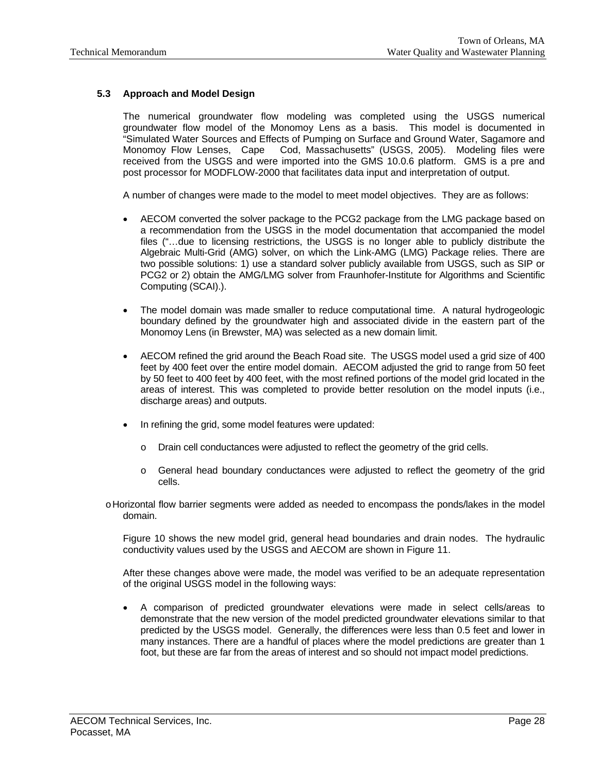## **5.3 Approach and Model Design**

The numerical groundwater flow modeling was completed using the USGS numerical groundwater flow model of the Monomoy Lens as a basis. This model is documented in "Simulated Water Sources and Effects of Pumping on Surface and Ground Water, Sagamore and Monomoy Flow Lenses, Cape Cod, Massachusetts" (USGS, 2005). Modeling files were received from the USGS and were imported into the GMS 10.0.6 platform. GMS is a pre and post processor for MODFLOW-2000 that facilitates data input and interpretation of output.

A number of changes were made to the model to meet model objectives. They are as follows:

- AECOM converted the solver package to the PCG2 package from the LMG package based on a recommendation from the USGS in the model documentation that accompanied the model files ("…due to licensing restrictions, the USGS is no longer able to publicly distribute the Algebraic Multi-Grid (AMG) solver, on which the Link-AMG (LMG) Package relies. There are two possible solutions: 1) use a standard solver publicly available from USGS, such as SIP or PCG2 or 2) obtain the AMG/LMG solver from Fraunhofer-Institute for Algorithms and Scientific Computing (SCAI).).
- The model domain was made smaller to reduce computational time. A natural hydrogeologic boundary defined by the groundwater high and associated divide in the eastern part of the Monomoy Lens (in Brewster, MA) was selected as a new domain limit.
- AECOM refined the grid around the Beach Road site. The USGS model used a grid size of 400 feet by 400 feet over the entire model domain. AECOM adjusted the grid to range from 50 feet by 50 feet to 400 feet by 400 feet, with the most refined portions of the model grid located in the areas of interest. This was completed to provide better resolution on the model inputs (i.e., discharge areas) and outputs.
- In refining the grid, some model features were updated:
	- o Drain cell conductances were adjusted to reflect the geometry of the grid cells.
	- o General head boundary conductances were adjusted to reflect the geometry of the grid cells.
- o Horizontal flow barrier segments were added as needed to encompass the ponds/lakes in the model domain.

Figure 10 shows the new model grid, general head boundaries and drain nodes. The hydraulic conductivity values used by the USGS and AECOM are shown in Figure 11.

After these changes above were made, the model was verified to be an adequate representation of the original USGS model in the following ways:

 A comparison of predicted groundwater elevations were made in select cells/areas to demonstrate that the new version of the model predicted groundwater elevations similar to that predicted by the USGS model. Generally, the differences were less than 0.5 feet and lower in many instances. There are a handful of places where the model predictions are greater than 1 foot, but these are far from the areas of interest and so should not impact model predictions.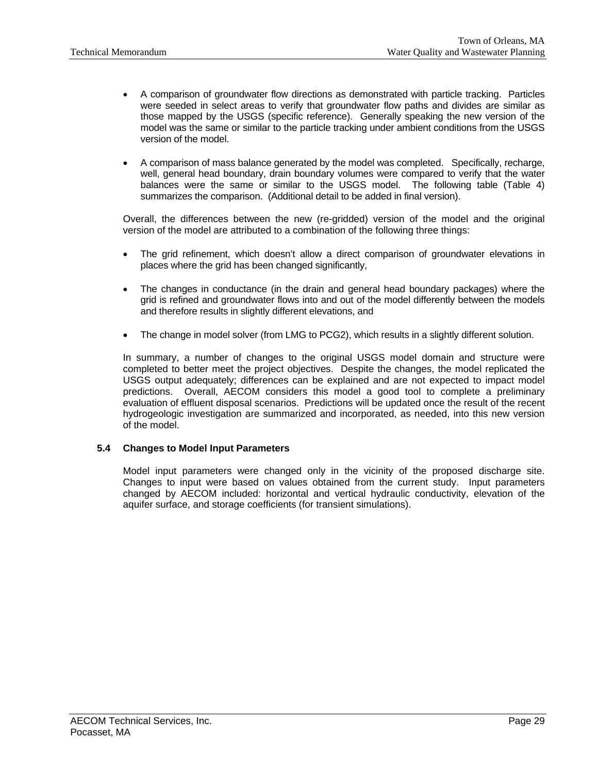- A comparison of groundwater flow directions as demonstrated with particle tracking. Particles were seeded in select areas to verify that groundwater flow paths and divides are similar as those mapped by the USGS (specific reference). Generally speaking the new version of the model was the same or similar to the particle tracking under ambient conditions from the USGS version of the model.
- A comparison of mass balance generated by the model was completed. Specifically, recharge, well, general head boundary, drain boundary volumes were compared to verify that the water balances were the same or similar to the USGS model. The following table (Table 4) summarizes the comparison. (Additional detail to be added in final version).

Overall, the differences between the new (re-gridded) version of the model and the original version of the model are attributed to a combination of the following three things:

- The grid refinement, which doesn't allow a direct comparison of groundwater elevations in places where the grid has been changed significantly,
- The changes in conductance (in the drain and general head boundary packages) where the grid is refined and groundwater flows into and out of the model differently between the models and therefore results in slightly different elevations, and
- The change in model solver (from LMG to PCG2), which results in a slightly different solution.

In summary, a number of changes to the original USGS model domain and structure were completed to better meet the project objectives. Despite the changes, the model replicated the USGS output adequately; differences can be explained and are not expected to impact model predictions. Overall, AECOM considers this model a good tool to complete a preliminary evaluation of effluent disposal scenarios. Predictions will be updated once the result of the recent hydrogeologic investigation are summarized and incorporated, as needed, into this new version of the model.

## **5.4 Changes to Model Input Parameters**

Model input parameters were changed only in the vicinity of the proposed discharge site. Changes to input were based on values obtained from the current study. Input parameters changed by AECOM included: horizontal and vertical hydraulic conductivity, elevation of the aquifer surface, and storage coefficients (for transient simulations).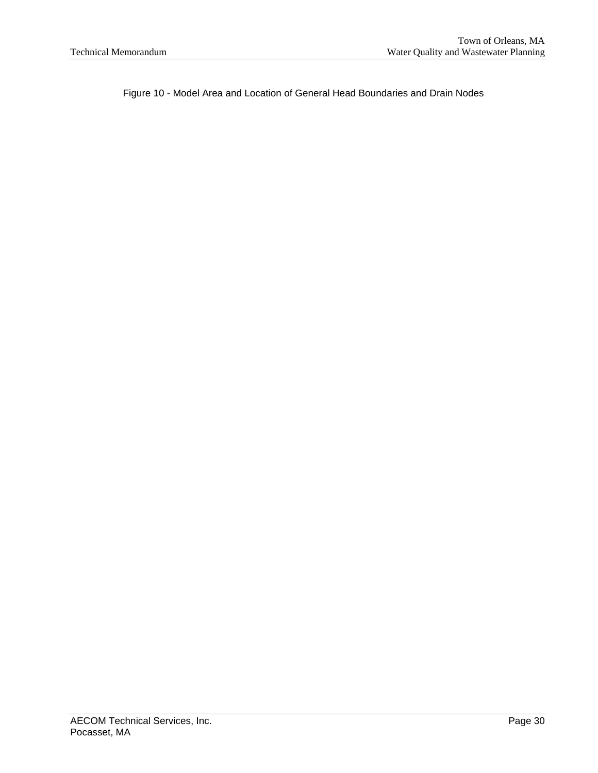Figure 10 - Model Area and Location of General Head Boundaries and Drain Nodes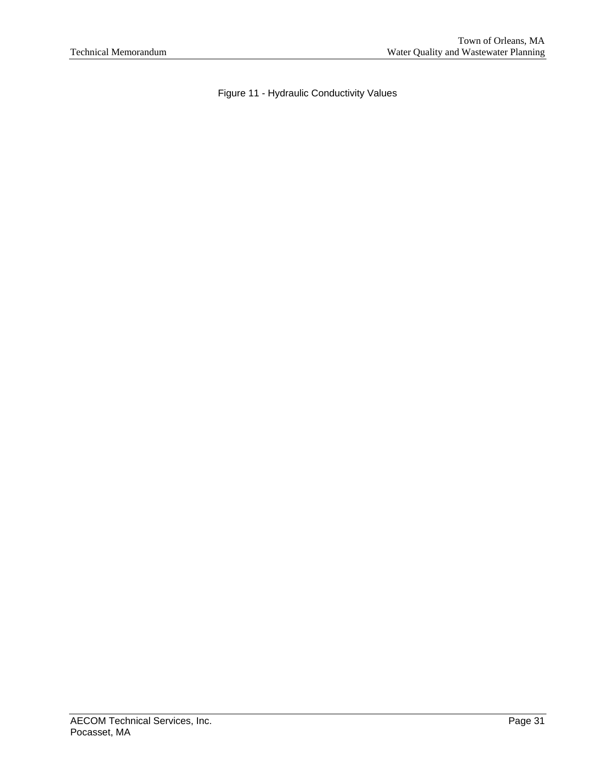Figure 11 - Hydraulic Conductivity Values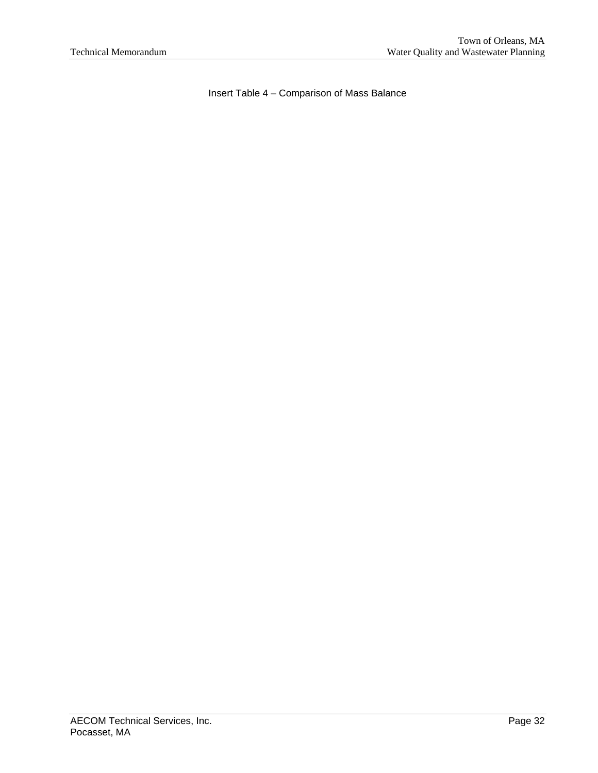Insert Table 4 – Comparison of Mass Balance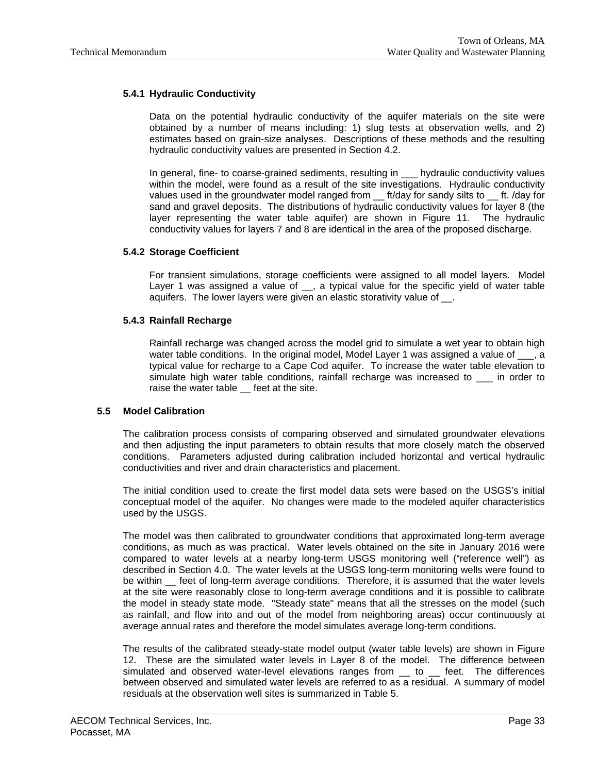## **5.4.1 Hydraulic Conductivity**

Data on the potential hydraulic conductivity of the aquifer materials on the site were obtained by a number of means including: 1) slug tests at observation wells, and 2) estimates based on grain-size analyses. Descriptions of these methods and the resulting hydraulic conductivity values are presented in Section 4.2.

In general, fine- to coarse-grained sediments, resulting in bydraulic conductivity values within the model, were found as a result of the site investigations. Hydraulic conductivity values used in the groundwater model ranged from \_\_ ft/day for sandy silts to \_\_ ft. /day for sand and gravel deposits. The distributions of hydraulic conductivity values for layer 8 (the layer representing the water table aquifer) are shown in Figure 11. The hydraulic conductivity values for layers 7 and 8 are identical in the area of the proposed discharge.

## **5.4.2 Storage Coefficient**

For transient simulations, storage coefficients were assigned to all model layers. Model Layer 1 was assigned a value of  $\Box$ , a typical value for the specific yield of water table aquifers. The lower layers were given an elastic storativity value of .

#### **5.4.3 Rainfall Recharge**

Rainfall recharge was changed across the model grid to simulate a wet year to obtain high water table conditions. In the original model, Model Layer 1 was assigned a value of \_\_\_, a typical value for recharge to a Cape Cod aquifer. To increase the water table elevation to simulate high water table conditions, rainfall recharge was increased to \_\_\_ in order to raise the water table feet at the site.

#### **5.5 Model Calibration**

The calibration process consists of comparing observed and simulated groundwater elevations and then adjusting the input parameters to obtain results that more closely match the observed conditions. Parameters adjusted during calibration included horizontal and vertical hydraulic conductivities and river and drain characteristics and placement.

The initial condition used to create the first model data sets were based on the USGS's initial conceptual model of the aquifer. No changes were made to the modeled aquifer characteristics used by the USGS.

The model was then calibrated to groundwater conditions that approximated long-term average conditions, as much as was practical. Water levels obtained on the site in January 2016 were compared to water levels at a nearby long-term USGS monitoring well ("reference well") as described in Section 4.0. The water levels at the USGS long-term monitoring wells were found to be within feet of long-term average conditions. Therefore, it is assumed that the water levels at the site were reasonably close to long-term average conditions and it is possible to calibrate the model in steady state mode. "Steady state" means that all the stresses on the model (such as rainfall, and flow into and out of the model from neighboring areas) occur continuously at average annual rates and therefore the model simulates average long-term conditions.

The results of the calibrated steady-state model output (water table levels) are shown in Figure 12. These are the simulated water levels in Layer 8 of the model. The difference between simulated and observed water-level elevations ranges from \_\_ to \_\_ feet. The differences between observed and simulated water levels are referred to as a residual. A summary of model residuals at the observation well sites is summarized in Table 5.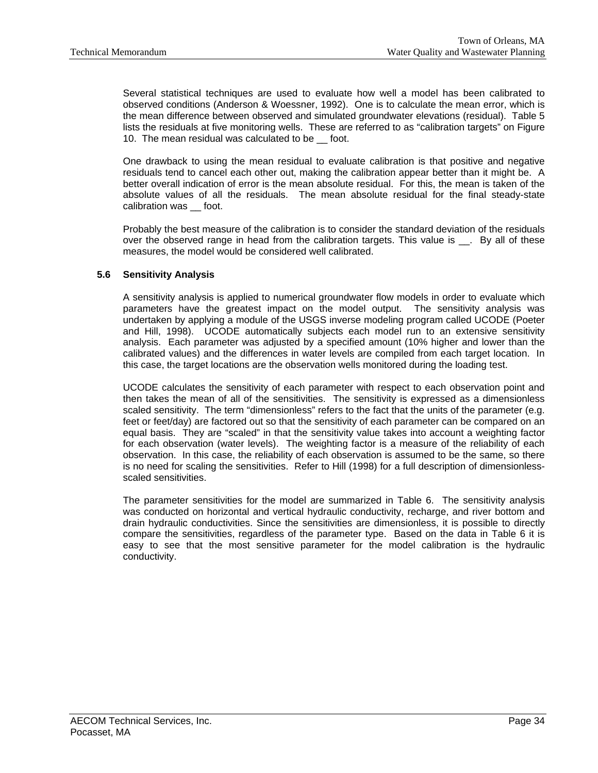Several statistical techniques are used to evaluate how well a model has been calibrated to observed conditions (Anderson & Woessner, 1992). One is to calculate the mean error, which is the mean difference between observed and simulated groundwater elevations (residual). Table 5 lists the residuals at five monitoring wells. These are referred to as "calibration targets" on Figure 10. The mean residual was calculated to be \_\_ foot.

One drawback to using the mean residual to evaluate calibration is that positive and negative residuals tend to cancel each other out, making the calibration appear better than it might be. A better overall indication of error is the mean absolute residual. For this, the mean is taken of the absolute values of all the residuals. The mean absolute residual for the final steady-state calibration was \_\_ foot.

Probably the best measure of the calibration is to consider the standard deviation of the residuals over the observed range in head from the calibration targets. This value is \_\_. By all of these measures, the model would be considered well calibrated.

## **5.6 Sensitivity Analysis**

A sensitivity analysis is applied to numerical groundwater flow models in order to evaluate which parameters have the greatest impact on the model output. The sensitivity analysis was undertaken by applying a module of the USGS inverse modeling program called UCODE (Poeter and Hill, 1998). UCODE automatically subjects each model run to an extensive sensitivity analysis. Each parameter was adjusted by a specified amount (10% higher and lower than the calibrated values) and the differences in water levels are compiled from each target location. In this case, the target locations are the observation wells monitored during the loading test.

UCODE calculates the sensitivity of each parameter with respect to each observation point and then takes the mean of all of the sensitivities. The sensitivity is expressed as a dimensionless scaled sensitivity. The term "dimensionless" refers to the fact that the units of the parameter (e.g. feet or feet/day) are factored out so that the sensitivity of each parameter can be compared on an equal basis. They are "scaled" in that the sensitivity value takes into account a weighting factor for each observation (water levels). The weighting factor is a measure of the reliability of each observation. In this case, the reliability of each observation is assumed to be the same, so there is no need for scaling the sensitivities. Refer to Hill (1998) for a full description of dimensionlessscaled sensitivities.

The parameter sensitivities for the model are summarized in Table 6. The sensitivity analysis was conducted on horizontal and vertical hydraulic conductivity, recharge, and river bottom and drain hydraulic conductivities. Since the sensitivities are dimensionless, it is possible to directly compare the sensitivities, regardless of the parameter type. Based on the data in Table 6 it is easy to see that the most sensitive parameter for the model calibration is the hydraulic conductivity.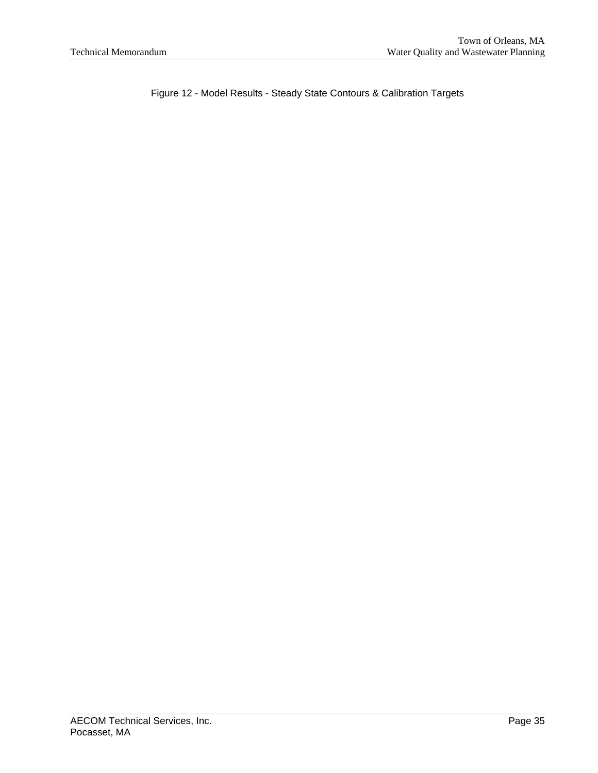Figure 12 - Model Results - Steady State Contours & Calibration Targets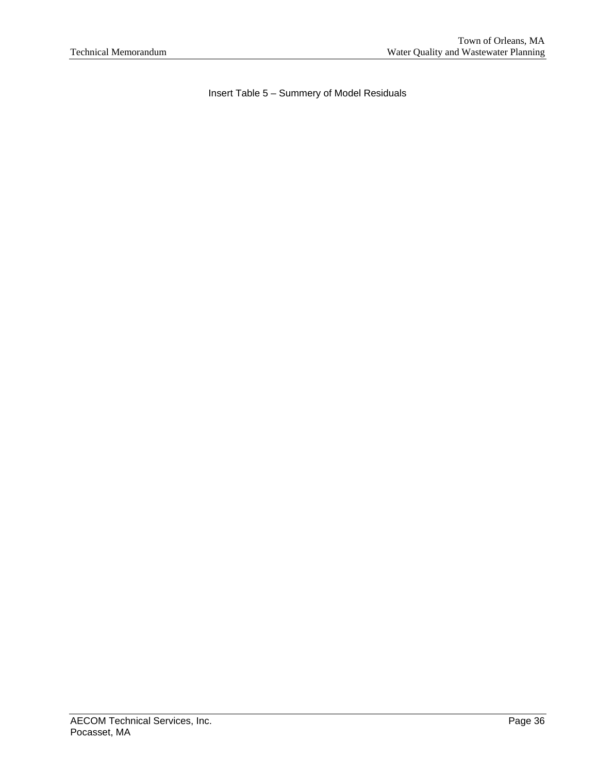Insert Table 5 – Summery of Model Residuals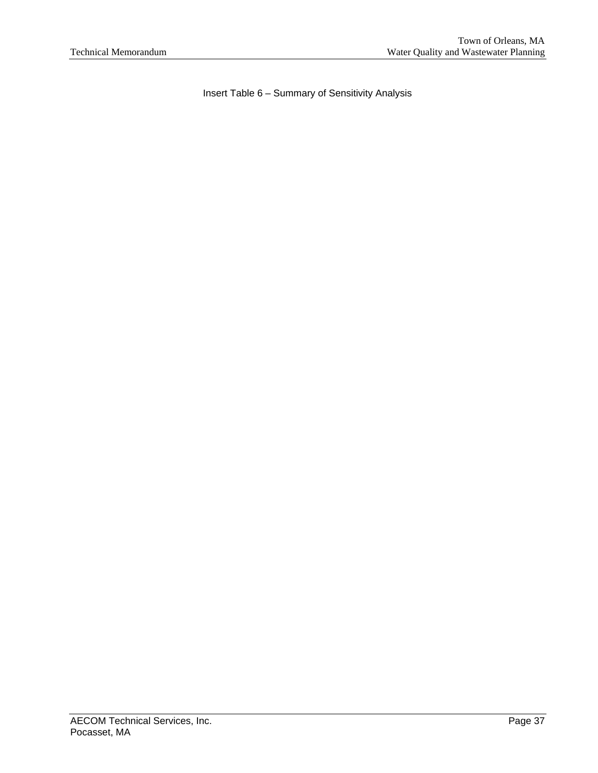Insert Table 6 – Summary of Sensitivity Analysis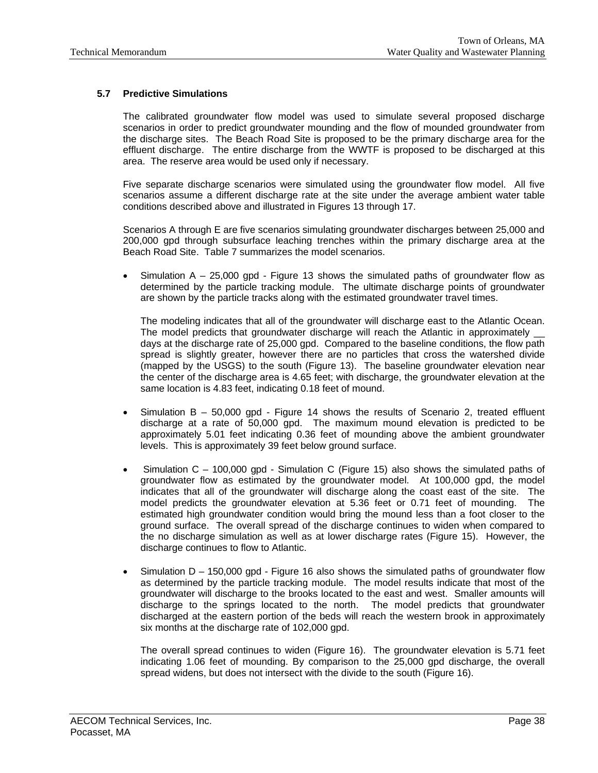## **5.7 Predictive Simulations**

The calibrated groundwater flow model was used to simulate several proposed discharge scenarios in order to predict groundwater mounding and the flow of mounded groundwater from the discharge sites. The Beach Road Site is proposed to be the primary discharge area for the effluent discharge. The entire discharge from the WWTF is proposed to be discharged at this area. The reserve area would be used only if necessary.

Five separate discharge scenarios were simulated using the groundwater flow model. All five scenarios assume a different discharge rate at the site under the average ambient water table conditions described above and illustrated in Figures 13 through 17.

Scenarios A through E are five scenarios simulating groundwater discharges between 25,000 and 200,000 gpd through subsurface leaching trenches within the primary discharge area at the Beach Road Site. Table 7 summarizes the model scenarios.

Simulation  $A - 25,000$  gpd - Figure 13 shows the simulated paths of groundwater flow as determined by the particle tracking module. The ultimate discharge points of groundwater are shown by the particle tracks along with the estimated groundwater travel times.

The modeling indicates that all of the groundwater will discharge east to the Atlantic Ocean. The model predicts that groundwater discharge will reach the Atlantic in approximately days at the discharge rate of 25,000 gpd. Compared to the baseline conditions, the flow path spread is slightly greater, however there are no particles that cross the watershed divide (mapped by the USGS) to the south (Figure 13). The baseline groundwater elevation near the center of the discharge area is 4.65 feet; with discharge, the groundwater elevation at the same location is 4.83 feet, indicating 0.18 feet of mound.

- Simulation B 50,000 gpd Figure 14 shows the results of Scenario 2, treated effluent discharge at a rate of 50,000 gpd. The maximum mound elevation is predicted to be approximately 5.01 feet indicating 0.36 feet of mounding above the ambient groundwater levels. This is approximately 39 feet below ground surface.
- Simulation C 100,000 gpd Simulation C (Figure 15) also shows the simulated paths of groundwater flow as estimated by the groundwater model. At 100,000 gpd, the model indicates that all of the groundwater will discharge along the coast east of the site. The model predicts the groundwater elevation at 5.36 feet or 0.71 feet of mounding. The estimated high groundwater condition would bring the mound less than a foot closer to the ground surface. The overall spread of the discharge continues to widen when compared to the no discharge simulation as well as at lower discharge rates (Figure 15). However, the discharge continues to flow to Atlantic.
- Simulation D 150,000 gpd Figure 16 also shows the simulated paths of groundwater flow as determined by the particle tracking module. The model results indicate that most of the groundwater will discharge to the brooks located to the east and west. Smaller amounts will discharge to the springs located to the north. The model predicts that groundwater discharged at the eastern portion of the beds will reach the western brook in approximately six months at the discharge rate of 102,000 gpd.

The overall spread continues to widen (Figure 16). The groundwater elevation is 5.71 feet indicating 1.06 feet of mounding. By comparison to the 25,000 gpd discharge, the overall spread widens, but does not intersect with the divide to the south (Figure 16).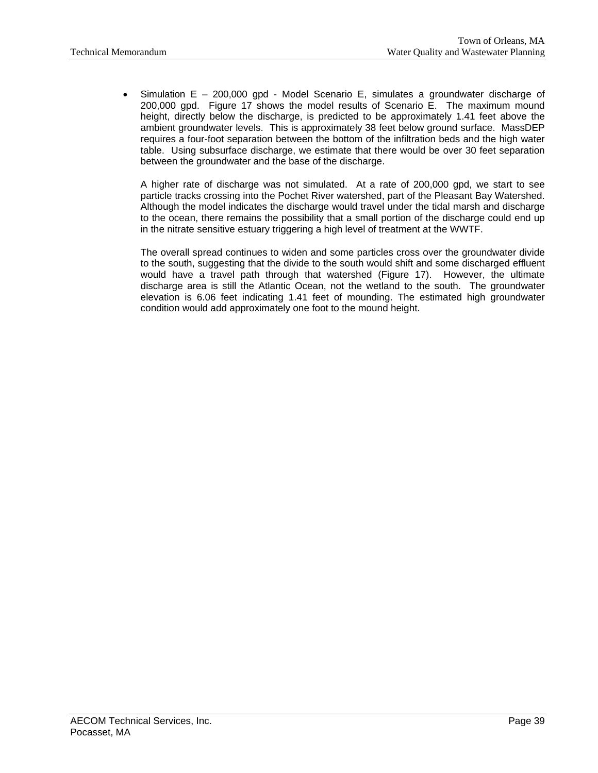Simulation E – 200,000 gpd - Model Scenario E, simulates a groundwater discharge of 200,000 gpd. Figure 17 shows the model results of Scenario E. The maximum mound height, directly below the discharge, is predicted to be approximately 1.41 feet above the ambient groundwater levels. This is approximately 38 feet below ground surface. MassDEP requires a four-foot separation between the bottom of the infiltration beds and the high water table. Using subsurface discharge, we estimate that there would be over 30 feet separation between the groundwater and the base of the discharge.

A higher rate of discharge was not simulated. At a rate of 200,000 gpd, we start to see particle tracks crossing into the Pochet River watershed, part of the Pleasant Bay Watershed. Although the model indicates the discharge would travel under the tidal marsh and discharge to the ocean, there remains the possibility that a small portion of the discharge could end up in the nitrate sensitive estuary triggering a high level of treatment at the WWTF.

The overall spread continues to widen and some particles cross over the groundwater divide to the south, suggesting that the divide to the south would shift and some discharged effluent would have a travel path through that watershed (Figure 17). However, the ultimate discharge area is still the Atlantic Ocean, not the wetland to the south. The groundwater elevation is 6.06 feet indicating 1.41 feet of mounding. The estimated high groundwater condition would add approximately one foot to the mound height.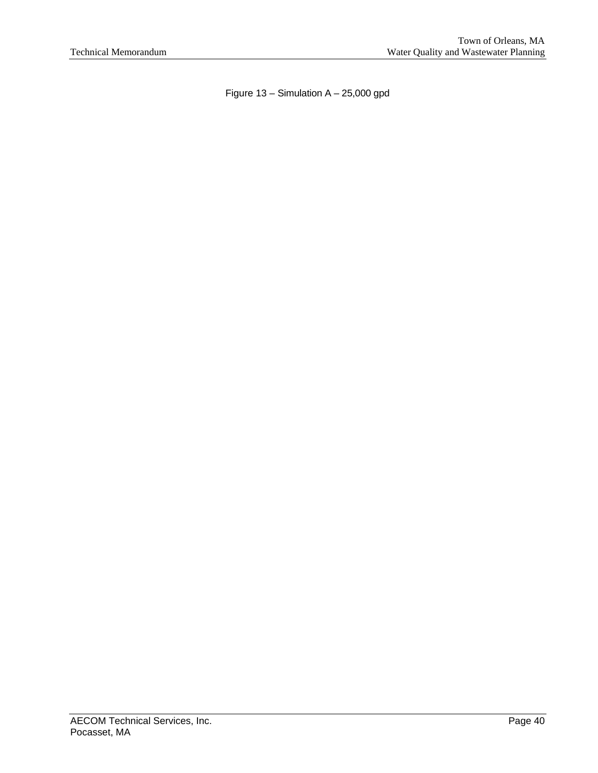Figure  $13$  – Simulation A – 25,000 gpd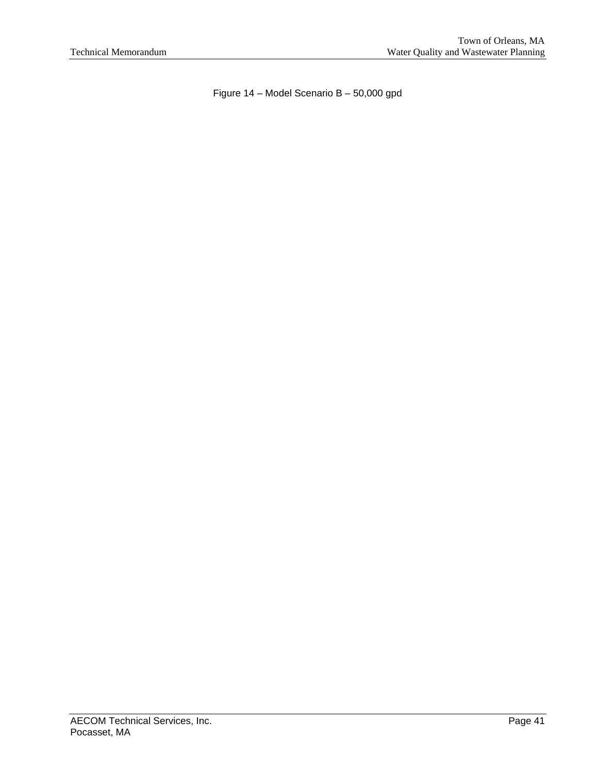Figure 14 – Model Scenario B – 50,000 gpd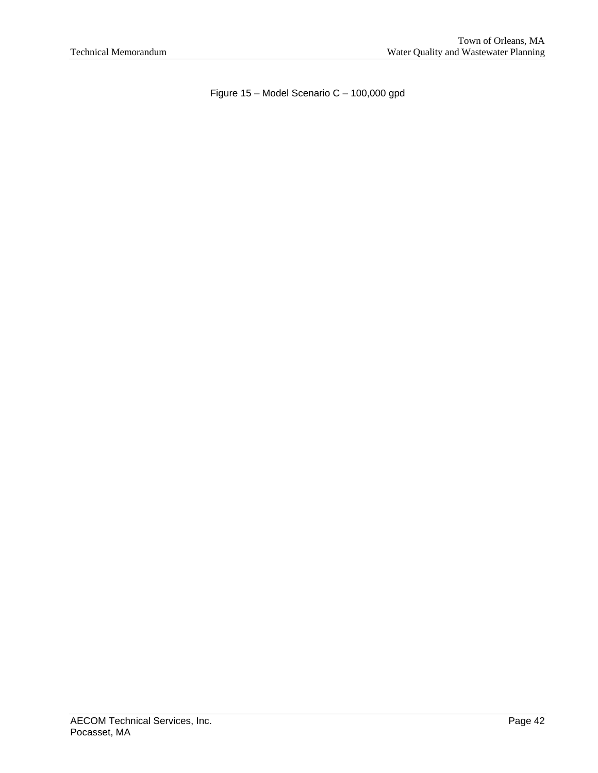Figure 15 – Model Scenario C – 100,000 gpd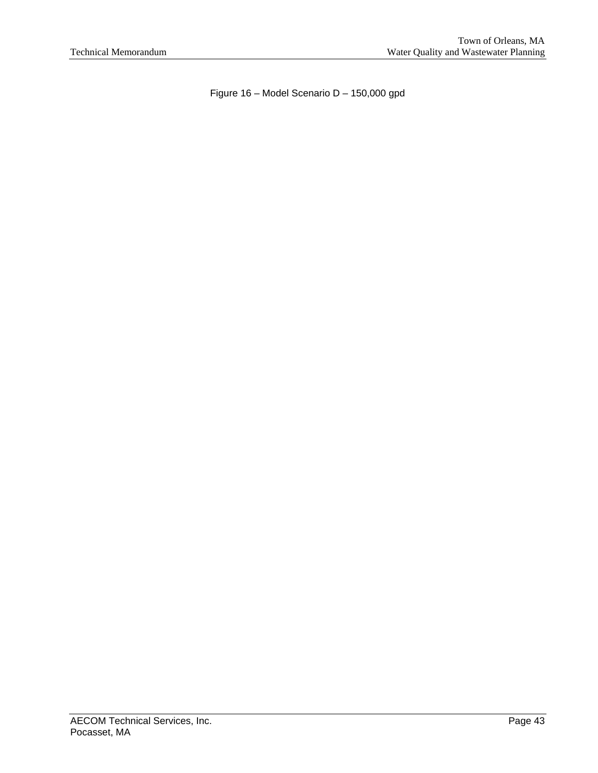Figure 16 – Model Scenario D – 150,000 gpd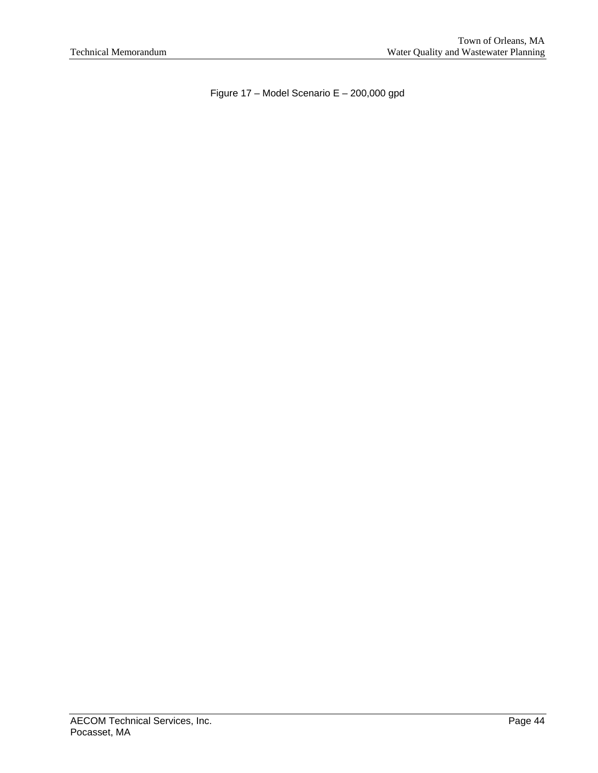Figure 17 – Model Scenario E – 200,000 gpd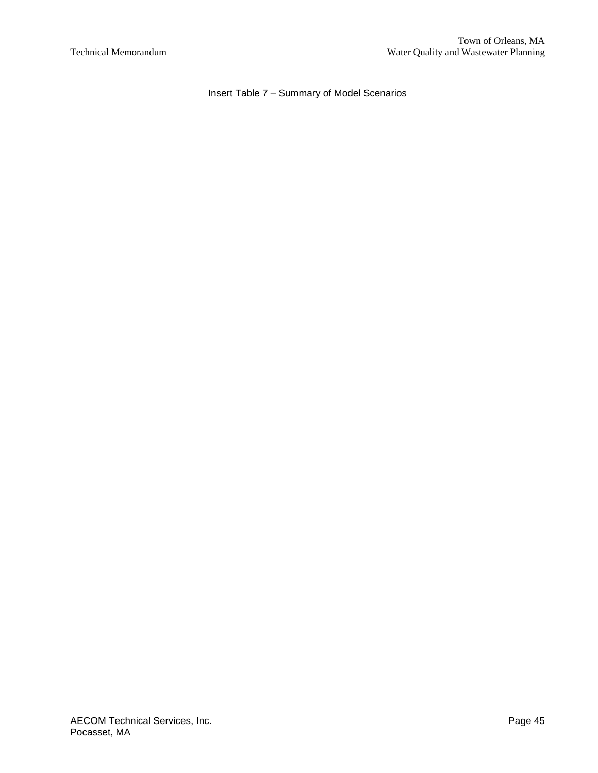Insert Table 7 – Summary of Model Scenarios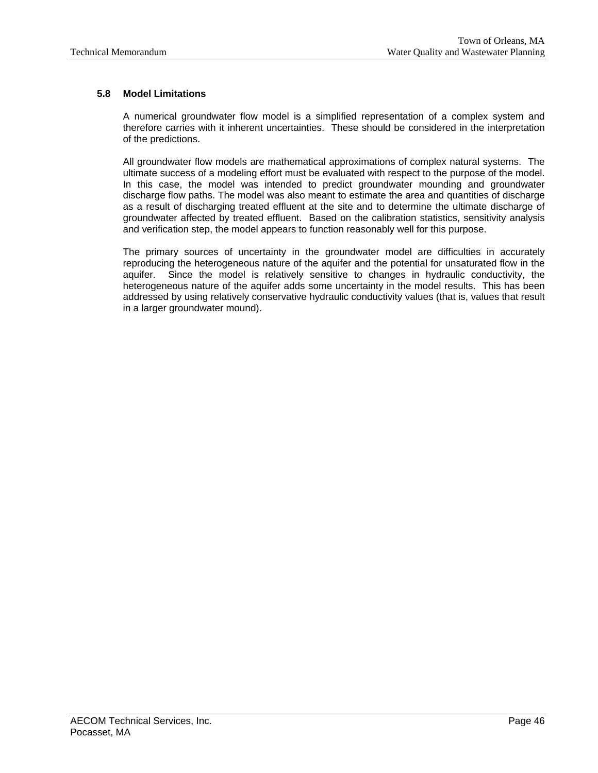## **5.8 Model Limitations**

A numerical groundwater flow model is a simplified representation of a complex system and therefore carries with it inherent uncertainties. These should be considered in the interpretation of the predictions.

All groundwater flow models are mathematical approximations of complex natural systems. The ultimate success of a modeling effort must be evaluated with respect to the purpose of the model. In this case, the model was intended to predict groundwater mounding and groundwater discharge flow paths. The model was also meant to estimate the area and quantities of discharge as a result of discharging treated effluent at the site and to determine the ultimate discharge of groundwater affected by treated effluent. Based on the calibration statistics, sensitivity analysis and verification step, the model appears to function reasonably well for this purpose.

The primary sources of uncertainty in the groundwater model are difficulties in accurately reproducing the heterogeneous nature of the aquifer and the potential for unsaturated flow in the aquifer. Since the model is relatively sensitive to changes in hydraulic conductivity, the heterogeneous nature of the aquifer adds some uncertainty in the model results. This has been addressed by using relatively conservative hydraulic conductivity values (that is, values that result in a larger groundwater mound).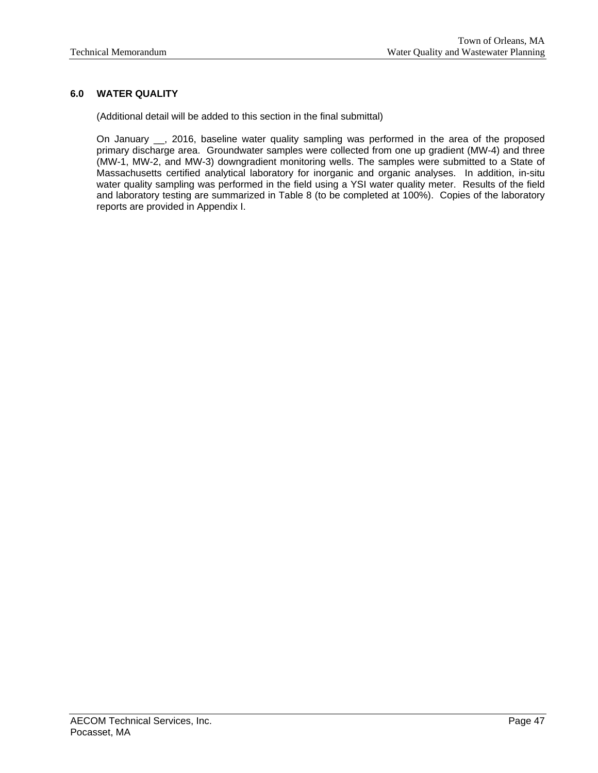## **6.0 WATER QUALITY**

(Additional detail will be added to this section in the final submittal)

On January \_\_, 2016, baseline water quality sampling was performed in the area of the proposed primary discharge area. Groundwater samples were collected from one up gradient (MW-4) and three (MW-1, MW-2, and MW-3) downgradient monitoring wells. The samples were submitted to a State of Massachusetts certified analytical laboratory for inorganic and organic analyses. In addition, in-situ water quality sampling was performed in the field using a YSI water quality meter. Results of the field and laboratory testing are summarized in Table 8 (to be completed at 100%). Copies of the laboratory reports are provided in Appendix I.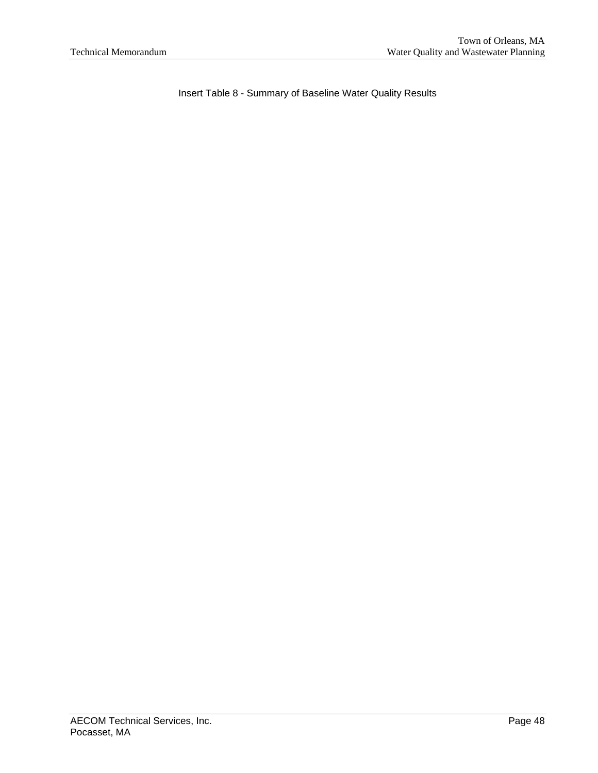Insert Table 8 - Summary of Baseline Water Quality Results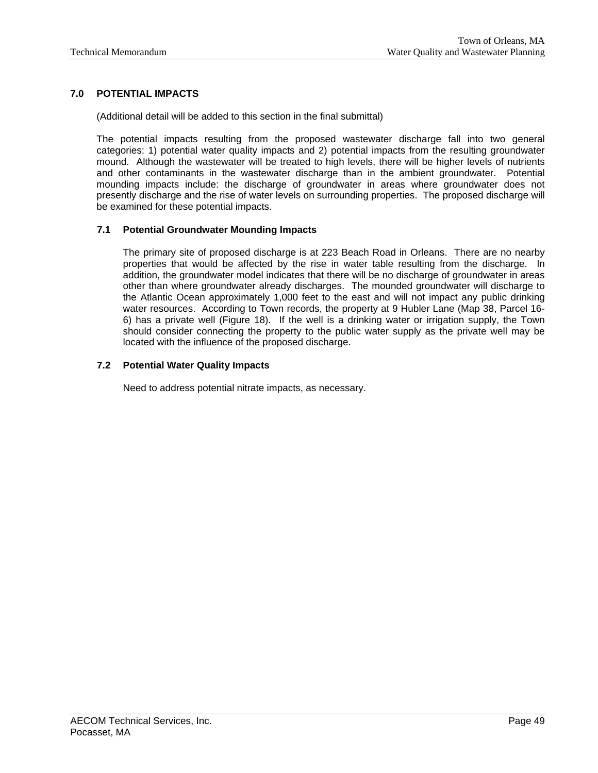## **7.0 POTENTIAL IMPACTS**

(Additional detail will be added to this section in the final submittal)

The potential impacts resulting from the proposed wastewater discharge fall into two general categories: 1) potential water quality impacts and 2) potential impacts from the resulting groundwater mound. Although the wastewater will be treated to high levels, there will be higher levels of nutrients and other contaminants in the wastewater discharge than in the ambient groundwater. Potential mounding impacts include: the discharge of groundwater in areas where groundwater does not presently discharge and the rise of water levels on surrounding properties. The proposed discharge will be examined for these potential impacts.

#### **7.1 Potential Groundwater Mounding Impacts**

The primary site of proposed discharge is at 223 Beach Road in Orleans. There are no nearby properties that would be affected by the rise in water table resulting from the discharge. In addition, the groundwater model indicates that there will be no discharge of groundwater in areas other than where groundwater already discharges. The mounded groundwater will discharge to the Atlantic Ocean approximately 1,000 feet to the east and will not impact any public drinking water resources. According to Town records, the property at 9 Hubler Lane (Map 38, Parcel 16- 6) has a private well (Figure 18). If the well is a drinking water or irrigation supply, the Town should consider connecting the property to the public water supply as the private well may be located with the influence of the proposed discharge.

## **7.2 Potential Water Quality Impacts**

Need to address potential nitrate impacts, as necessary.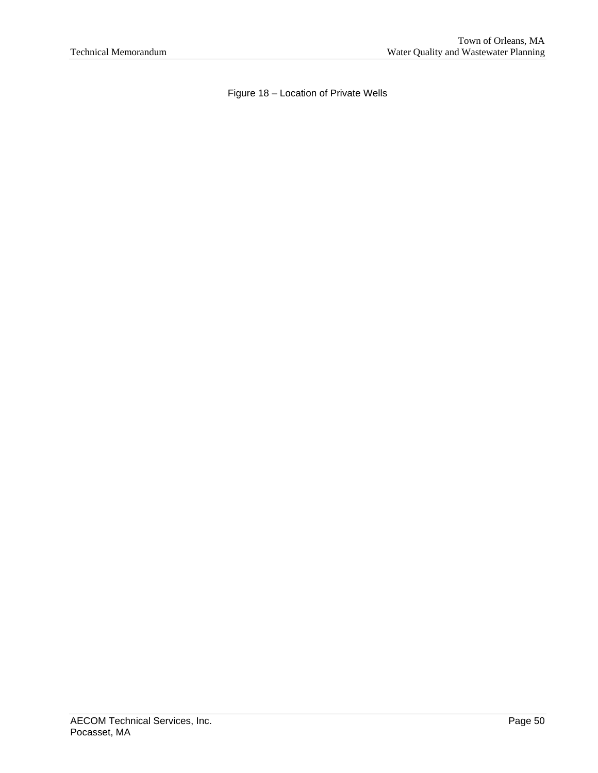Figure 18 – Location of Private Wells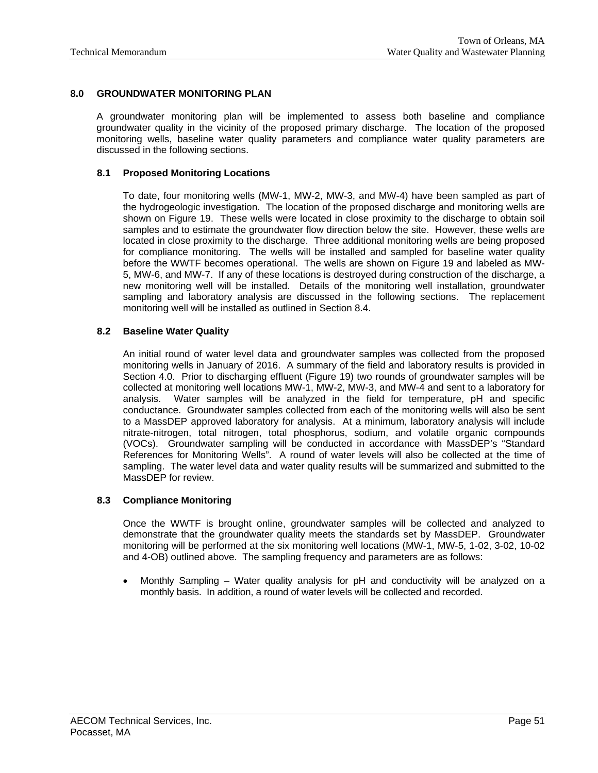## **8.0 GROUNDWATER MONITORING PLAN**

A groundwater monitoring plan will be implemented to assess both baseline and compliance groundwater quality in the vicinity of the proposed primary discharge. The location of the proposed monitoring wells, baseline water quality parameters and compliance water quality parameters are discussed in the following sections.

#### **8.1 Proposed Monitoring Locations**

To date, four monitoring wells (MW-1, MW-2, MW-3, and MW-4) have been sampled as part of the hydrogeologic investigation. The location of the proposed discharge and monitoring wells are shown on Figure 19. These wells were located in close proximity to the discharge to obtain soil samples and to estimate the groundwater flow direction below the site. However, these wells are located in close proximity to the discharge. Three additional monitoring wells are being proposed for compliance monitoring. The wells will be installed and sampled for baseline water quality before the WWTF becomes operational. The wells are shown on Figure 19 and labeled as MW-5, MW-6, and MW-7. If any of these locations is destroyed during construction of the discharge, a new monitoring well will be installed. Details of the monitoring well installation, groundwater sampling and laboratory analysis are discussed in the following sections. The replacement monitoring well will be installed as outlined in Section 8.4.

#### **8.2 Baseline Water Quality**

An initial round of water level data and groundwater samples was collected from the proposed monitoring wells in January of 2016. A summary of the field and laboratory results is provided in Section 4.0. Prior to discharging effluent (Figure 19) two rounds of groundwater samples will be collected at monitoring well locations MW-1, MW-2, MW-3, and MW-4 and sent to a laboratory for analysis. Water samples will be analyzed in the field for temperature, pH and specific conductance. Groundwater samples collected from each of the monitoring wells will also be sent to a MassDEP approved laboratory for analysis. At a minimum, laboratory analysis will include nitrate-nitrogen, total nitrogen, total phosphorus, sodium, and volatile organic compounds (VOCs). Groundwater sampling will be conducted in accordance with MassDEP's "Standard References for Monitoring Wells". A round of water levels will also be collected at the time of sampling. The water level data and water quality results will be summarized and submitted to the MassDEP for review.

#### **8.3 Compliance Monitoring**

Once the WWTF is brought online, groundwater samples will be collected and analyzed to demonstrate that the groundwater quality meets the standards set by MassDEP. Groundwater monitoring will be performed at the six monitoring well locations (MW-1, MW-5, 1-02, 3-02, 10-02 and 4-OB) outlined above. The sampling frequency and parameters are as follows:

 Monthly Sampling – Water quality analysis for pH and conductivity will be analyzed on a monthly basis. In addition, a round of water levels will be collected and recorded.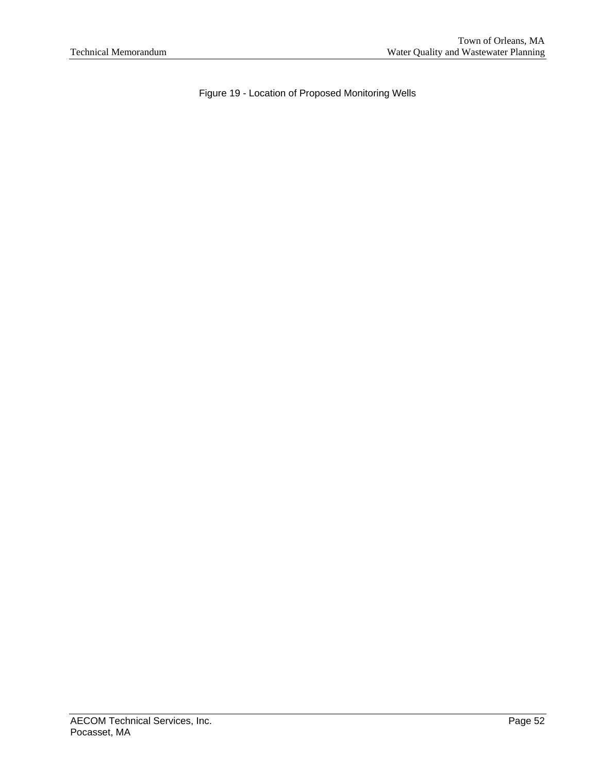Figure 19 - Location of Proposed Monitoring Wells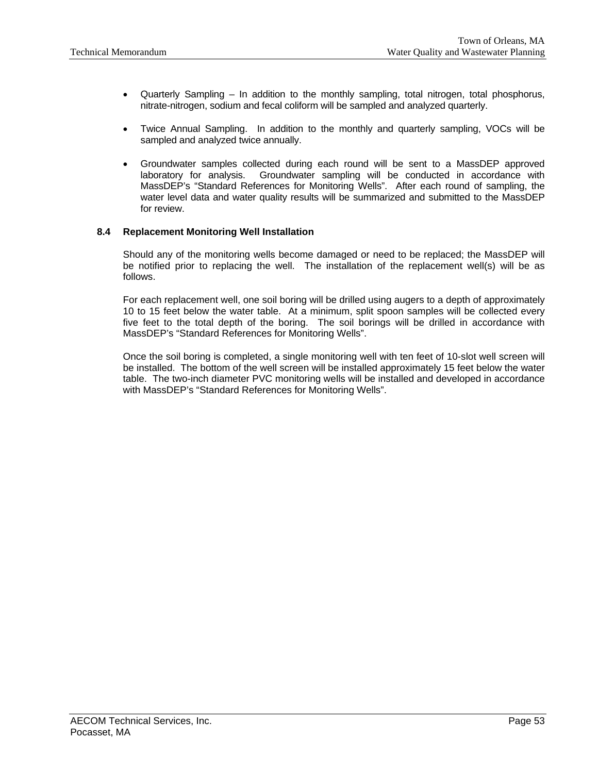- Quarterly Sampling In addition to the monthly sampling, total nitrogen, total phosphorus, nitrate-nitrogen, sodium and fecal coliform will be sampled and analyzed quarterly.
- Twice Annual Sampling. In addition to the monthly and quarterly sampling, VOCs will be sampled and analyzed twice annually.
- Groundwater samples collected during each round will be sent to a MassDEP approved laboratory for analysis. Groundwater sampling will be conducted in accordance with MassDEP's "Standard References for Monitoring Wells". After each round of sampling, the water level data and water quality results will be summarized and submitted to the MassDEP for review.

## **8.4 Replacement Monitoring Well Installation**

Should any of the monitoring wells become damaged or need to be replaced; the MassDEP will be notified prior to replacing the well. The installation of the replacement well(s) will be as follows.

For each replacement well, one soil boring will be drilled using augers to a depth of approximately 10 to 15 feet below the water table. At a minimum, split spoon samples will be collected every five feet to the total depth of the boring. The soil borings will be drilled in accordance with MassDEP's "Standard References for Monitoring Wells".

Once the soil boring is completed, a single monitoring well with ten feet of 10-slot well screen will be installed. The bottom of the well screen will be installed approximately 15 feet below the water table. The two-inch diameter PVC monitoring wells will be installed and developed in accordance with MassDEP's "Standard References for Monitoring Wells".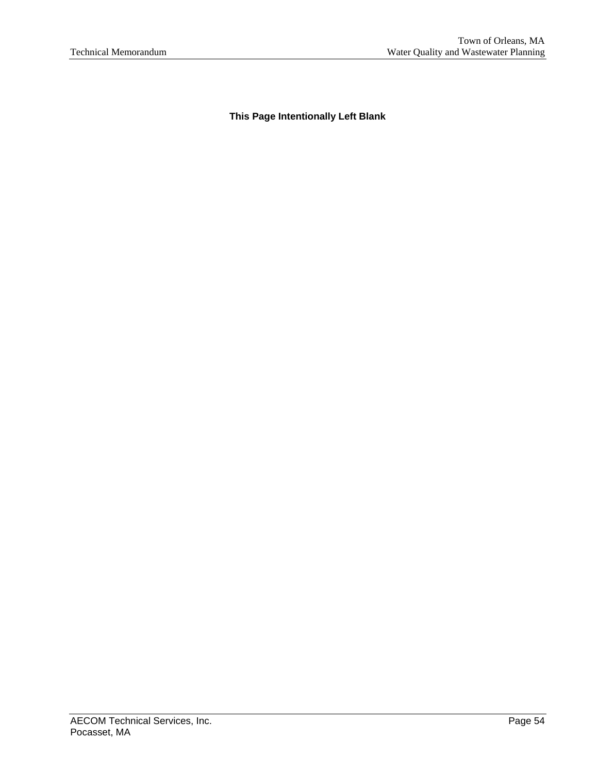**This Page Intentionally Left Blank**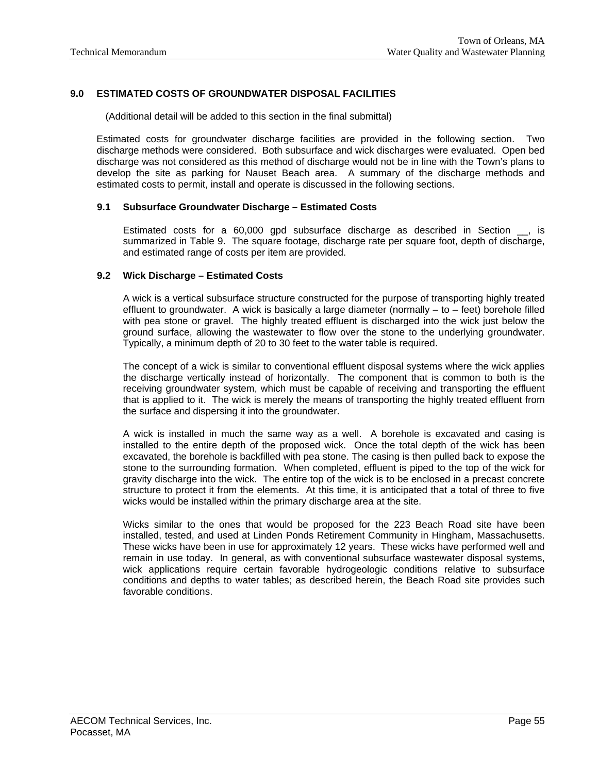## **9.0 ESTIMATED COSTS OF GROUNDWATER DISPOSAL FACILITIES**

(Additional detail will be added to this section in the final submittal)

Estimated costs for groundwater discharge facilities are provided in the following section. Two discharge methods were considered. Both subsurface and wick discharges were evaluated. Open bed discharge was not considered as this method of discharge would not be in line with the Town's plans to develop the site as parking for Nauset Beach area. A summary of the discharge methods and estimated costs to permit, install and operate is discussed in the following sections.

#### **9.1 Subsurface Groundwater Discharge – Estimated Costs**

Estimated costs for a 60,000 gpd subsurface discharge as described in Section \_\_, is summarized in Table 9. The square footage, discharge rate per square foot, depth of discharge, and estimated range of costs per item are provided.

#### **9.2 Wick Discharge – Estimated Costs**

A wick is a vertical subsurface structure constructed for the purpose of transporting highly treated effluent to groundwater. A wick is basically a large diameter (normally – to – feet) borehole filled with pea stone or gravel. The highly treated effluent is discharged into the wick just below the ground surface, allowing the wastewater to flow over the stone to the underlying groundwater. Typically, a minimum depth of 20 to 30 feet to the water table is required.

The concept of a wick is similar to conventional effluent disposal systems where the wick applies the discharge vertically instead of horizontally. The component that is common to both is the receiving groundwater system, which must be capable of receiving and transporting the effluent that is applied to it. The wick is merely the means of transporting the highly treated effluent from the surface and dispersing it into the groundwater.

A wick is installed in much the same way as a well. A borehole is excavated and casing is installed to the entire depth of the proposed wick. Once the total depth of the wick has been excavated, the borehole is backfilled with pea stone. The casing is then pulled back to expose the stone to the surrounding formation. When completed, effluent is piped to the top of the wick for gravity discharge into the wick. The entire top of the wick is to be enclosed in a precast concrete structure to protect it from the elements. At this time, it is anticipated that a total of three to five wicks would be installed within the primary discharge area at the site.

Wicks similar to the ones that would be proposed for the 223 Beach Road site have been installed, tested, and used at Linden Ponds Retirement Community in Hingham, Massachusetts. These wicks have been in use for approximately 12 years. These wicks have performed well and remain in use today. In general, as with conventional subsurface wastewater disposal systems, wick applications require certain favorable hydrogeologic conditions relative to subsurface conditions and depths to water tables; as described herein, the Beach Road site provides such favorable conditions.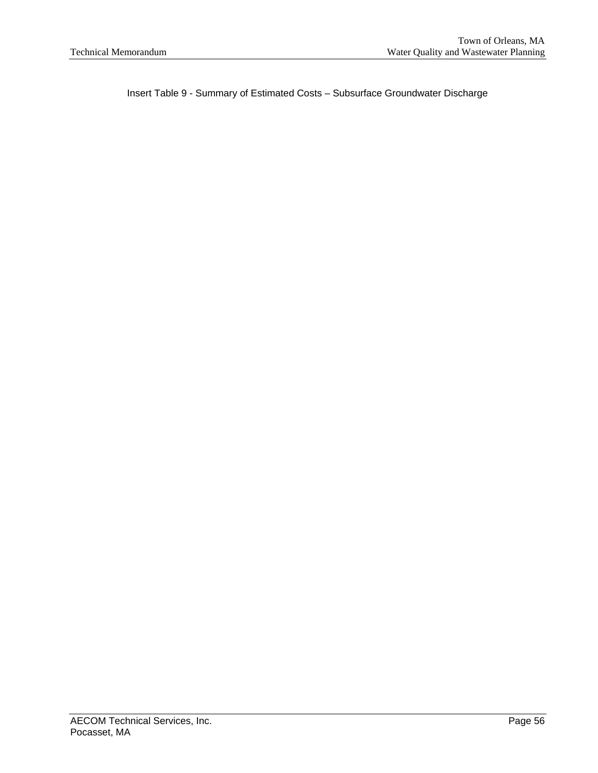Insert Table 9 - Summary of Estimated Costs – Subsurface Groundwater Discharge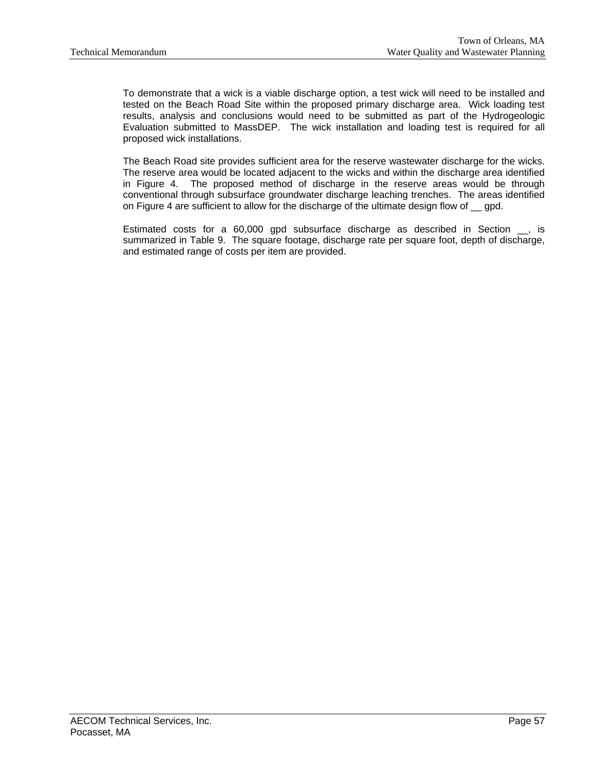To demonstrate that a wick is a viable discharge option, a test wick will need to be installed and tested on the Beach Road Site within the proposed primary discharge area. Wick loading test results, analysis and conclusions would need to be submitted as part of the Hydrogeologic Evaluation submitted to MassDEP. The wick installation and loading test is required for all proposed wick installations.

The Beach Road site provides sufficient area for the reserve wastewater discharge for the wicks. The reserve area would be located adjacent to the wicks and within the discharge area identified in Figure 4. The proposed method of discharge in the reserve areas would be through conventional through subsurface groundwater discharge leaching trenches. The areas identified on Figure 4 are sufficient to allow for the discharge of the ultimate design flow of gpd.

Estimated costs for a 60,000 gpd subsurface discharge as described in Section \_\_, is summarized in Table 9. The square footage, discharge rate per square foot, depth of discharge, and estimated range of costs per item are provided.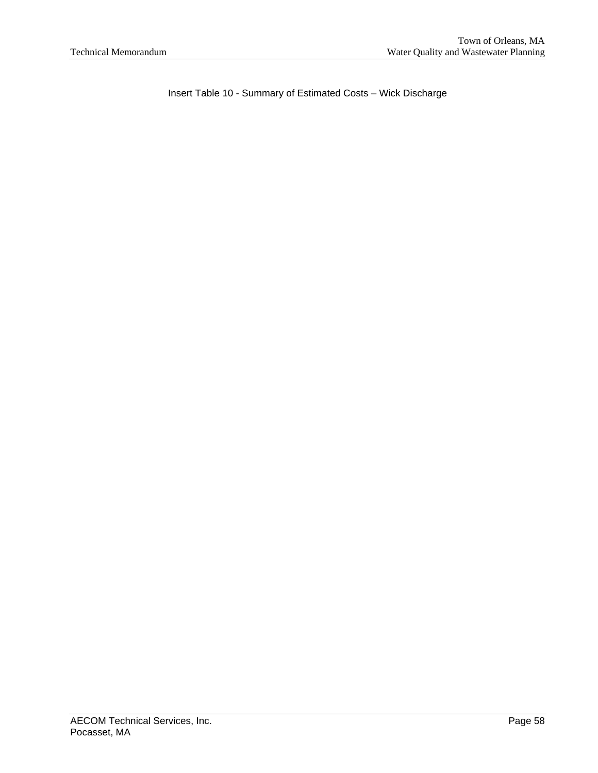Insert Table 10 - Summary of Estimated Costs – Wick Discharge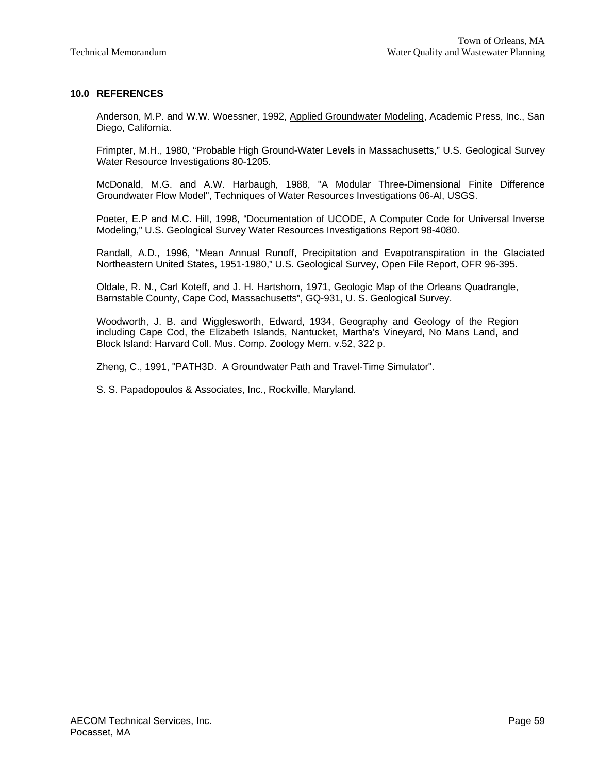## **10.0 REFERENCES**

Anderson, M.P. and W.W. Woessner, 1992, Applied Groundwater Modeling, Academic Press, Inc., San Diego, California.

Frimpter, M.H., 1980, "Probable High Ground-Water Levels in Massachusetts," U.S. Geological Survey Water Resource Investigations 80-1205.

McDonald, M.G. and A.W. Harbaugh, 1988, "A Modular Three-Dimensional Finite Difference Groundwater Flow Model", Techniques of Water Resources Investigations 06-Al, USGS.

Poeter, E.P and M.C. Hill, 1998, "Documentation of UCODE, A Computer Code for Universal Inverse Modeling," U.S. Geological Survey Water Resources Investigations Report 98-4080.

Randall, A.D., 1996, "Mean Annual Runoff, Precipitation and Evapotranspiration in the Glaciated Northeastern United States, 1951-1980," U.S. Geological Survey, Open File Report, OFR 96-395.

Oldale, R. N., Carl Koteff, and J. H. Hartshorn, 1971, Geologic Map of the Orleans Quadrangle, Barnstable County, Cape Cod, Massachusetts", GQ-931, U. S. Geological Survey.

Woodworth, J. B. and Wigglesworth, Edward, 1934, Geography and Geology of the Region including Cape Cod, the Elizabeth Islands, Nantucket, Martha's Vineyard, No Mans Land, and Block Island: Harvard Coll. Mus. Comp. Zoology Mem. v.52, 322 p.

Zheng, C., 1991, "PATH3D. A Groundwater Path and Travel-Time Simulator".

S. S. Papadopoulos & Associates, Inc., Rockville, Maryland.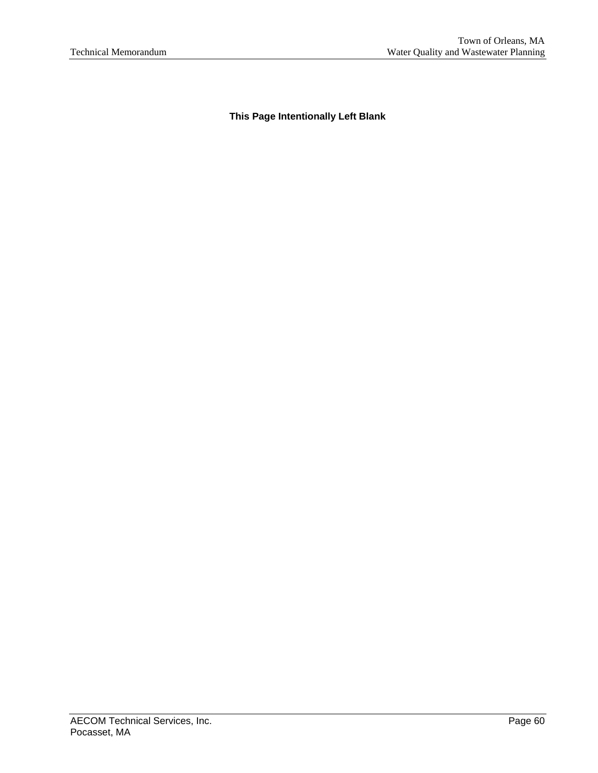**This Page Intentionally Left Blank**